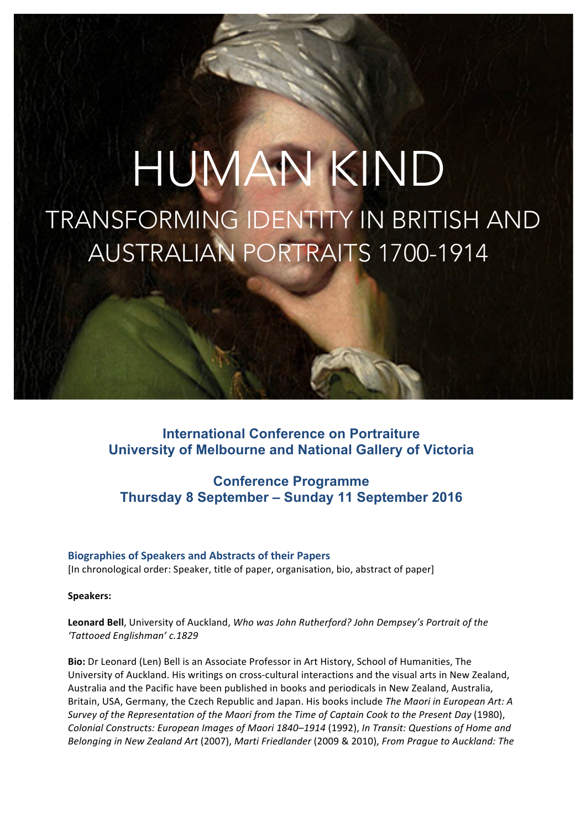# HUMAN KIND TRANSFORMING IDENTITY IN BRITISH AND AUSTRALIAN PORTRAITS 1700-1914

**International Conference on Portraiture University of Melbourne and National Gallery of Victoria**

## **Conference Programme Thursday 8 September – Sunday 11 September 2016**

## **Biographies of Speakers and Abstracts of their Papers** [In chronological order: Speaker, title of paper, organisation, bio, abstract of paper]

#### **Speakers:**

Leonard Bell, University of Auckland, *Who was John Rutherford? John Dempsey's Portrait of the 'Tattooed Englishman' c.1829*

**Bio:** Dr Leonard (Len) Bell is an Associate Professor in Art History, School of Humanities, The University of Auckland. His writings on cross-cultural interactions and the visual arts in New Zealand, Australia and the Pacific have been published in books and periodicals in New Zealand, Australia, Britain, USA, Germany, the Czech Republic and Japan. His books include *The Maori in European Art: A Survey* of the Representation of the Maori from the Time of Captain Cook to the Present Day (1980), Colonial Constructs: European Images of Maori 1840–1914 (1992), In Transit: Questions of Home and *Belonging in New Zealand Art* (2007), *Marti Friedlander* (2009 & 2010), *From Prague to Auckland: The*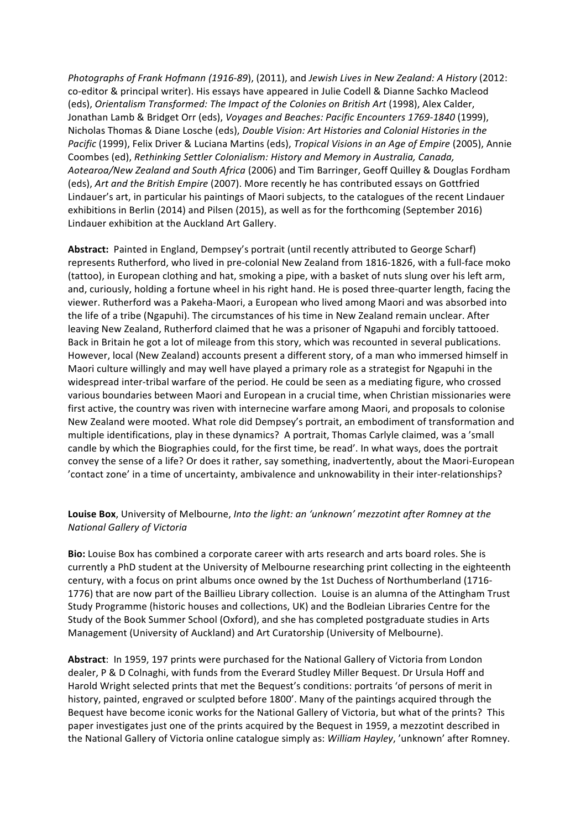*Photographs of Frank Hofmann (1916-89*), (2011), and *Jewish Lives in New Zealand: A History* (2012: co-editor & principal writer). His essays have appeared in Julie Codell & Dianne Sachko Macleod (eds), *Orientalism Transformed: The Impact of the Colonies on British Art* (1998), Alex Calder, Jonathan Lamb & Bridget Orr (eds), *Voyages and Beaches: Pacific Encounters 1769-1840* (1999), Nicholas Thomas & Diane Losche (eds), *Double Vision: Art Histories and Colonial Histories in the Pacific* (1999), Felix Driver & Luciana Martins (eds), *Tropical Visions in an Age of Empire* (2005), Annie Coombes (ed), Rethinking Settler Colonialism: History and Memory in Australia, Canada, *Aotearoa/New Zealand and South Africa* (2006) and Tim Barringer, Geoff Quilley & Douglas Fordham (eds), *Art and the British Empire* (2007). More recently he has contributed essays on Gottfried Lindauer's art, in particular his paintings of Maori subjects, to the catalogues of the recent Lindauer exhibitions in Berlin (2014) and Pilsen (2015), as well as for the forthcoming (September 2016) Lindauer exhibition at the Auckland Art Gallery.

Abstract: Painted in England, Dempsey's portrait (until recently attributed to George Scharf) represents Rutherford, who lived in pre-colonial New Zealand from 1816-1826, with a full-face moko (tattoo), in European clothing and hat, smoking a pipe, with a basket of nuts slung over his left arm, and, curiously, holding a fortune wheel in his right hand. He is posed three-quarter length, facing the viewer. Rutherford was a Pakeha-Maori, a European who lived among Maori and was absorbed into the life of a tribe (Ngapuhi). The circumstances of his time in New Zealand remain unclear. After leaving New Zealand, Rutherford claimed that he was a prisoner of Ngapuhi and forcibly tattooed. Back in Britain he got a lot of mileage from this story, which was recounted in several publications. However, local (New Zealand) accounts present a different story, of a man who immersed himself in Maori culture willingly and may well have played a primary role as a strategist for Ngapuhi in the widespread inter-tribal warfare of the period. He could be seen as a mediating figure, who crossed various boundaries between Maori and European in a crucial time, when Christian missionaries were first active, the country was riven with internecine warfare among Maori, and proposals to colonise New Zealand were mooted. What role did Dempsey's portrait, an embodiment of transformation and multiple identifications, play in these dynamics? A portrait, Thomas Carlyle claimed, was a 'small candle by which the Biographies could, for the first time, be read'. In what ways, does the portrait convey the sense of a life? Or does it rather, say something, inadvertently, about the Maori-European 'contact zone' in a time of uncertainty, ambivalence and unknowability in their inter-relationships?

## **Louise Box**, University of Melbourne, Into the light: an 'unknown' mezzotint after Romney at the *National Gallery of Victoria*

**Bio:** Louise Box has combined a corporate career with arts research and arts board roles. She is currently a PhD student at the University of Melbourne researching print collecting in the eighteenth century, with a focus on print albums once owned by the 1st Duchess of Northumberland (1716-1776) that are now part of the Baillieu Library collection. Louise is an alumna of the Attingham Trust Study Programme (historic houses and collections, UK) and the Bodleian Libraries Centre for the Study of the Book Summer School (Oxford), and she has completed postgraduate studies in Arts Management (University of Auckland) and Art Curatorship (University of Melbourne).

**Abstract:** In 1959, 197 prints were purchased for the National Gallery of Victoria from London dealer, P & D Colnaghi, with funds from the Everard Studley Miller Bequest. Dr Ursula Hoff and Harold Wright selected prints that met the Bequest's conditions: portraits 'of persons of merit in history, painted, engraved or sculpted before 1800'. Many of the paintings acquired through the Bequest have become iconic works for the National Gallery of Victoria, but what of the prints? This paper investigates just one of the prints acquired by the Bequest in 1959, a mezzotint described in the National Gallery of Victoria online catalogue simply as: *William Hayley*, 'unknown' after Romney.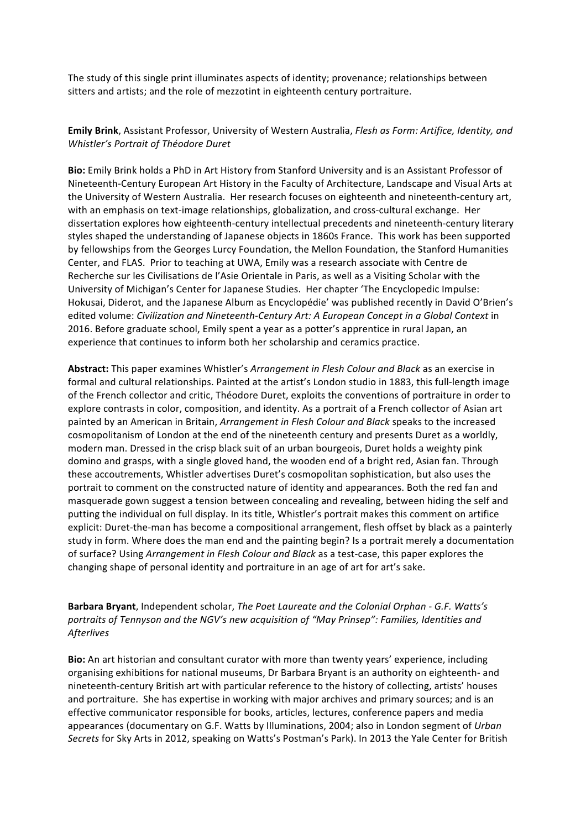The study of this single print illuminates aspects of identity; provenance; relationships between sitters and artists; and the role of mezzotint in eighteenth century portraiture.

#### **Emily Brink**, Assistant Professor, University of Western Australia, *Flesh as Form: Artifice, Identity, and Whistler's Portrait of Théodore Duret*

**Bio:** Emily Brink holds a PhD in Art History from Stanford University and is an Assistant Professor of Nineteenth-Century European Art History in the Faculty of Architecture, Landscape and Visual Arts at the University of Western Australia. Her research focuses on eighteenth and nineteenth-century art, with an emphasis on text-image relationships, globalization, and cross-cultural exchange. Her dissertation explores how eighteenth-century intellectual precedents and nineteenth-century literary styles shaped the understanding of Japanese objects in 1860s France. This work has been supported by fellowships from the Georges Lurcy Foundation, the Mellon Foundation, the Stanford Humanities Center, and FLAS. Prior to teaching at UWA, Emily was a research associate with Centre de Recherche sur les Civilisations de l'Asie Orientale in Paris, as well as a Visiting Scholar with the University of Michigan's Center for Japanese Studies. Her chapter 'The Encyclopedic Impulse: Hokusai, Diderot, and the Japanese Album as Encyclopédie' was published recently in David O'Brien's edited volume: *Civilization and Nineteenth-Century Art: A European Concept in a Global Context* in 2016. Before graduate school, Emily spent a year as a potter's apprentice in rural Japan, an experience that continues to inform both her scholarship and ceramics practice.

Abstract: This paper examines Whistler's *Arrangement in Flesh Colour and Black* as an exercise in formal and cultural relationships. Painted at the artist's London studio in 1883, this full-length image of the French collector and critic, Théodore Duret, exploits the conventions of portraiture in order to explore contrasts in color, composition, and identity. As a portrait of a French collector of Asian art painted by an American in Britain, *Arrangement in Flesh Colour and Black* speaks to the increased cosmopolitanism of London at the end of the nineteenth century and presents Duret as a worldly, modern man. Dressed in the crisp black suit of an urban bourgeois, Duret holds a weighty pink domino and grasps, with a single gloved hand, the wooden end of a bright red, Asian fan. Through these accoutrements, Whistler advertises Duret's cosmopolitan sophistication, but also uses the portrait to comment on the constructed nature of identity and appearances. Both the red fan and masquerade gown suggest a tension between concealing and revealing, between hiding the self and putting the individual on full display. In its title, Whistler's portrait makes this comment on artifice explicit: Duret-the-man has become a compositional arrangement, flesh offset by black as a painterly study in form. Where does the man end and the painting begin? Is a portrait merely a documentation of surface? Using *Arrangement in Flesh Colour and Black* as a test-case, this paper explores the changing shape of personal identity and portraiture in an age of art for art's sake.

## Barbara Bryant, Independent scholar, *The Poet Laureate and the Colonial Orphan - G.F. Watts's* portraits of Tennyson and the NGV's new acquisition of "May Prinsep": Families, Identities and *Afterlives*

**Bio:** An art historian and consultant curator with more than twenty years' experience, including organising exhibitions for national museums, Dr Barbara Bryant is an authority on eighteenth- and nineteenth-century British art with particular reference to the history of collecting, artists' houses and portraiture. She has expertise in working with major archives and primary sources; and is an effective communicator responsible for books, articles, lectures, conference papers and media appearances (documentary on G.F. Watts by Illuminations, 2004; also in London segment of *Urban* Secrets for Sky Arts in 2012, speaking on Watts's Postman's Park). In 2013 the Yale Center for British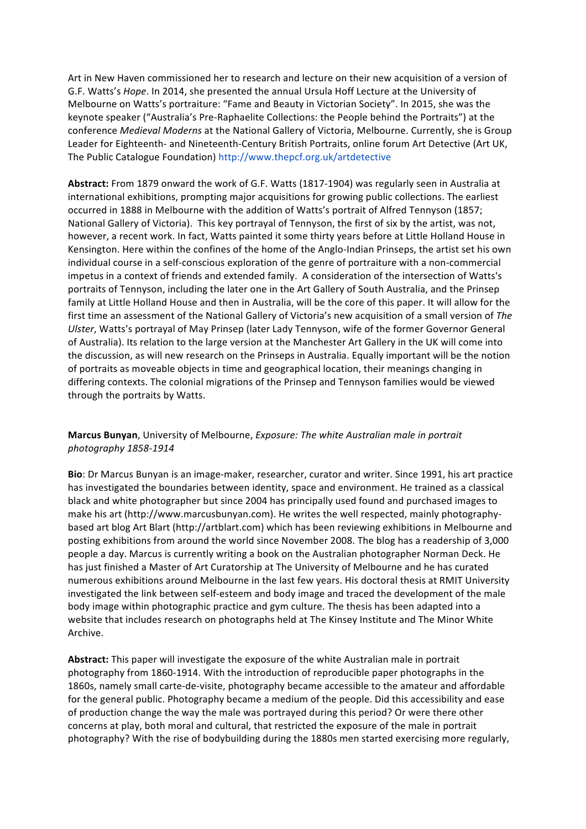Art in New Haven commissioned her to research and lecture on their new acquisition of a version of G.F. Watts's Hope. In 2014, she presented the annual Ursula Hoff Lecture at the University of Melbourne on Watts's portraiture: "Fame and Beauty in Victorian Society". In 2015, she was the keynote speaker ("Australia's Pre-Raphaelite Collections: the People behind the Portraits") at the conference *Medieval Moderns* at the National Gallery of Victoria, Melbourne. Currently, she is Group Leader for Eighteenth- and Nineteenth-Century British Portraits, online forum Art Detective (Art UK, The Public Catalogue Foundation) http://www.thepcf.org.uk/artdetective

Abstract: From 1879 onward the work of G.F. Watts (1817-1904) was regularly seen in Australia at international exhibitions, prompting major acquisitions for growing public collections. The earliest occurred in 1888 in Melbourne with the addition of Watts's portrait of Alfred Tennyson (1857; National Gallery of Victoria). This key portrayal of Tennyson, the first of six by the artist, was not, however, a recent work. In fact, Watts painted it some thirty years before at Little Holland House in Kensington. Here within the confines of the home of the Anglo-Indian Prinseps, the artist set his own individual course in a self-conscious exploration of the genre of portraiture with a non-commercial impetus in a context of friends and extended family. A consideration of the intersection of Watts's portraits of Tennyson, including the later one in the Art Gallery of South Australia, and the Prinsep family at Little Holland House and then in Australia, will be the core of this paper. It will allow for the first time an assessment of the National Gallery of Victoria's new acquisition of a small version of The Ulster, Watts's portrayal of May Prinsep (later Lady Tennyson, wife of the former Governor General of Australia). Its relation to the large version at the Manchester Art Gallery in the UK will come into the discussion, as will new research on the Prinseps in Australia. Equally important will be the notion of portraits as moveable objects in time and geographical location, their meanings changing in differing contexts. The colonial migrations of the Prinsep and Tennyson families would be viewed through the portraits by Watts.

**Marcus Bunyan**, University of Melbourne, *Exposure: The white Australian male in portrait photography 1858-1914*

**Bio**: Dr Marcus Bunyan is an image-maker, researcher, curator and writer. Since 1991, his art practice has investigated the boundaries between identity, space and environment. He trained as a classical black and white photographer but since 2004 has principally used found and purchased images to make his art (http://www.marcusbunyan.com). He writes the well respected, mainly photographybased art blog Art Blart (http://artblart.com) which has been reviewing exhibitions in Melbourne and posting exhibitions from around the world since November 2008. The blog has a readership of 3,000 people a day. Marcus is currently writing a book on the Australian photographer Norman Deck. He has just finished a Master of Art Curatorship at The University of Melbourne and he has curated numerous exhibitions around Melbourne in the last few years. His doctoral thesis at RMIT University investigated the link between self-esteem and body image and traced the development of the male body image within photographic practice and gym culture. The thesis has been adapted into a website that includes research on photographs held at The Kinsey Institute and The Minor White Archive.

Abstract: This paper will investigate the exposure of the white Australian male in portrait photography from 1860-1914. With the introduction of reproducible paper photographs in the 1860s, namely small carte-de-visite, photography became accessible to the amateur and affordable for the general public. Photography became a medium of the people. Did this accessibility and ease of production change the way the male was portrayed during this period? Or were there other concerns at play, both moral and cultural, that restricted the exposure of the male in portrait photography? With the rise of bodybuilding during the 1880s men started exercising more regularly,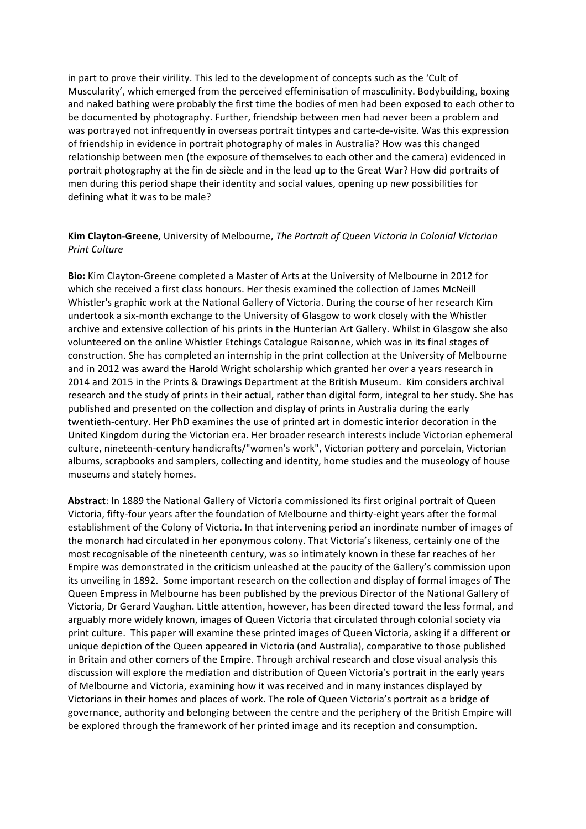in part to prove their virility. This led to the development of concepts such as the 'Cult of Muscularity', which emerged from the perceived effeminisation of masculinity. Bodybuilding, boxing and naked bathing were probably the first time the bodies of men had been exposed to each other to be documented by photography. Further, friendship between men had never been a problem and was portrayed not infrequently in overseas portrait tintypes and carte-de-visite. Was this expression of friendship in evidence in portrait photography of males in Australia? How was this changed relationship between men (the exposure of themselves to each other and the camera) evidenced in portrait photography at the fin de siècle and in the lead up to the Great War? How did portraits of men during this period shape their identity and social values, opening up new possibilities for defining what it was to be male?

#### **Kim Clayton-Greene**, University of Melbourne, *The Portrait of Queen Victoria in Colonial Victorian Print Culture*

**Bio:** Kim Clayton-Greene completed a Master of Arts at the University of Melbourne in 2012 for which she received a first class honours. Her thesis examined the collection of James McNeill Whistler's graphic work at the National Gallery of Victoria. During the course of her research Kim undertook a six-month exchange to the University of Glasgow to work closely with the Whistler archive and extensive collection of his prints in the Hunterian Art Gallery. Whilst in Glasgow she also volunteered on the online Whistler Etchings Catalogue Raisonne, which was in its final stages of construction. She has completed an internship in the print collection at the University of Melbourne and in 2012 was award the Harold Wright scholarship which granted her over a years research in 2014 and 2015 in the Prints & Drawings Department at the British Museum. Kim considers archival research and the study of prints in their actual, rather than digital form, integral to her study. She has published and presented on the collection and display of prints in Australia during the early twentieth-century. Her PhD examines the use of printed art in domestic interior decoration in the United Kingdom during the Victorian era. Her broader research interests include Victorian ephemeral culture, nineteenth-century handicrafts/"women's work", Victorian pottery and porcelain, Victorian albums, scrapbooks and samplers, collecting and identity, home studies and the museology of house museums and stately homes.

Abstract: In 1889 the National Gallery of Victoria commissioned its first original portrait of Queen Victoria, fifty-four years after the foundation of Melbourne and thirty-eight years after the formal establishment of the Colony of Victoria. In that intervening period an inordinate number of images of the monarch had circulated in her eponymous colony. That Victoria's likeness, certainly one of the most recognisable of the nineteenth century, was so intimately known in these far reaches of her Empire was demonstrated in the criticism unleashed at the paucity of the Gallery's commission upon its unveiling in 1892. Some important research on the collection and display of formal images of The Queen Empress in Melbourne has been published by the previous Director of the National Gallery of Victoria, Dr Gerard Vaughan. Little attention, however, has been directed toward the less formal, and arguably more widely known, images of Queen Victoria that circulated through colonial society via print culture. This paper will examine these printed images of Queen Victoria, asking if a different or unique depiction of the Queen appeared in Victoria (and Australia), comparative to those published in Britain and other corners of the Empire. Through archival research and close visual analysis this discussion will explore the mediation and distribution of Queen Victoria's portrait in the early years of Melbourne and Victoria, examining how it was received and in many instances displayed by Victorians in their homes and places of work. The role of Queen Victoria's portrait as a bridge of governance, authority and belonging between the centre and the periphery of the British Empire will be explored through the framework of her printed image and its reception and consumption.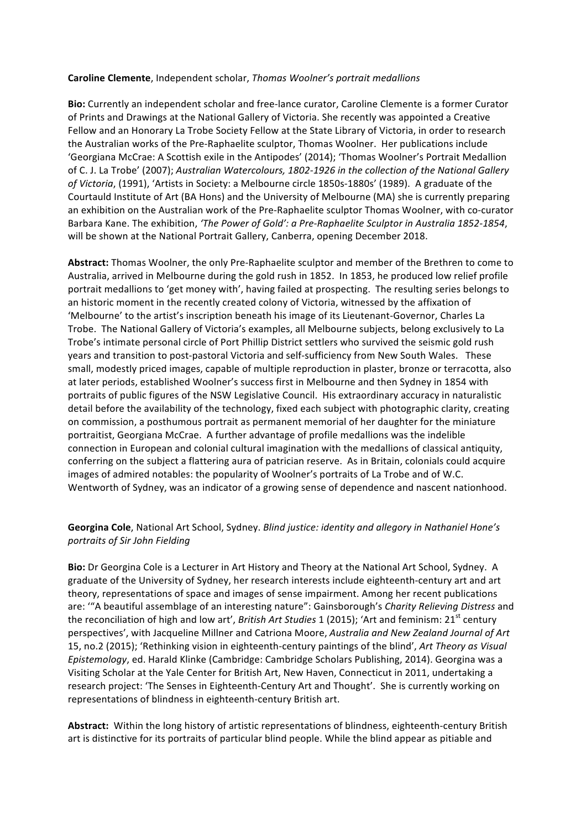#### **Caroline Clemente**, Independent scholar, *Thomas Woolner's portrait medallions*

**Bio:** Currently an independent scholar and free-lance curator, Caroline Clemente is a former Curator of Prints and Drawings at the National Gallery of Victoria. She recently was appointed a Creative Fellow and an Honorary La Trobe Society Fellow at the State Library of Victoria, in order to research the Australian works of the Pre-Raphaelite sculptor, Thomas Woolner. Her publications include 'Georgiana McCrae: A Scottish exile in the Antipodes' (2014); 'Thomas Woolner's Portrait Medallion of C. J. La Trobe' (2007); Australian Watercolours, 1802-1926 in the collection of the National Gallery of Victoria, (1991), 'Artists in Society: a Melbourne circle 1850s-1880s' (1989). A graduate of the Courtauld Institute of Art (BA Hons) and the University of Melbourne (MA) she is currently preparing an exhibition on the Australian work of the Pre-Raphaelite sculptor Thomas Woolner, with co-curator Barbara Kane. The exhibition, 'The Power of Gold': a Pre-Raphaelite Sculptor in Australia 1852-1854, will be shown at the National Portrait Gallery, Canberra, opening December 2018.

Abstract: Thomas Woolner, the only Pre-Raphaelite sculptor and member of the Brethren to come to Australia, arrived in Melbourne during the gold rush in 1852. In 1853, he produced low relief profile portrait medallions to 'get money with', having failed at prospecting. The resulting series belongs to an historic moment in the recently created colony of Victoria, witnessed by the affixation of 'Melbourne' to the artist's inscription beneath his image of its Lieutenant-Governor, Charles La Trobe. The National Gallery of Victoria's examples, all Melbourne subjects, belong exclusively to La Trobe's intimate personal circle of Port Phillip District settlers who survived the seismic gold rush years and transition to post-pastoral Victoria and self-sufficiency from New South Wales. These small, modestly priced images, capable of multiple reproduction in plaster, bronze or terracotta, also at later periods, established Woolner's success first in Melbourne and then Sydney in 1854 with portraits of public figures of the NSW Legislative Council. His extraordinary accuracy in naturalistic detail before the availability of the technology, fixed each subject with photographic clarity, creating on commission, a posthumous portrait as permanent memorial of her daughter for the miniature portraitist, Georgiana McCrae. A further advantage of profile medallions was the indelible connection in European and colonial cultural imagination with the medallions of classical antiquity, conferring on the subject a flattering aura of patrician reserve. As in Britain, colonials could acquire images of admired notables: the popularity of Woolner's portraits of La Trobe and of W.C. Wentworth of Sydney, was an indicator of a growing sense of dependence and nascent nationhood.

### Georgina Cole, National Art School, Sydney. *Blind justice: identity and allegory in Nathaniel Hone's portraits of Sir John Fielding*

**Bio:** Dr Georgina Cole is a Lecturer in Art History and Theory at the National Art School, Sydney. A graduate of the University of Sydney, her research interests include eighteenth-century art and art theory, representations of space and images of sense impairment. Among her recent publications are: ""A beautiful assemblage of an interesting nature": Gainsborough's *Charity Relieving Distress* and the reconciliation of high and low art', *British Art Studies* 1 (2015); 'Art and feminism:  $21^{st}$  century perspectives', with Jacqueline Millner and Catriona Moore, *Australia and New Zealand Journal of Art* 15, no.2 (2015); 'Rethinking vision in eighteenth-century paintings of the blind', *Art Theory as Visual Epistemology*, ed. Harald Klinke (Cambridge: Cambridge Scholars Publishing, 2014). Georgina was a Visiting Scholar at the Yale Center for British Art, New Haven, Connecticut in 2011, undertaking a research project: 'The Senses in Eighteenth-Century Art and Thought'. She is currently working on representations of blindness in eighteenth-century British art.

Abstract: Within the long history of artistic representations of blindness, eighteenth-century British art is distinctive for its portraits of particular blind people. While the blind appear as pitiable and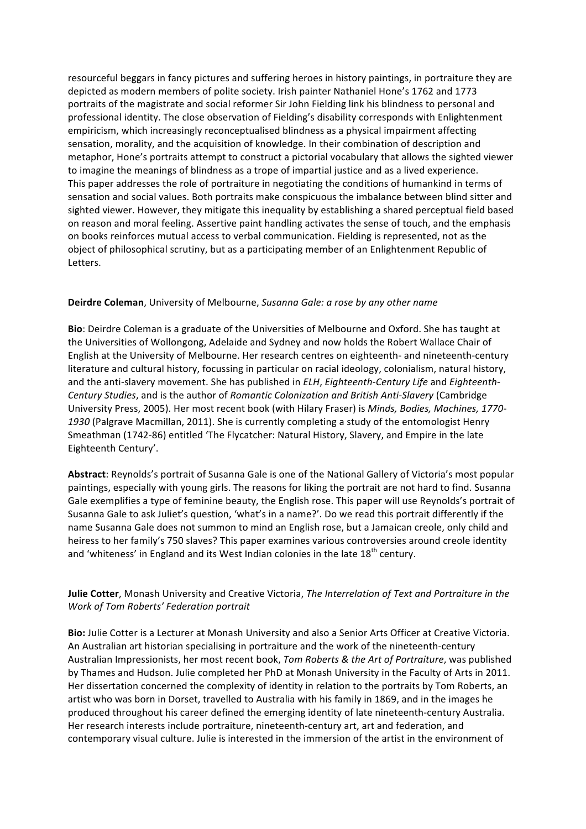resourceful beggars in fancy pictures and suffering heroes in history paintings, in portraiture they are depicted as modern members of polite society. Irish painter Nathaniel Hone's 1762 and 1773 portraits of the magistrate and social reformer Sir John Fielding link his blindness to personal and professional identity. The close observation of Fielding's disability corresponds with Enlightenment empiricism, which increasingly reconceptualised blindness as a physical impairment affecting sensation, morality, and the acquisition of knowledge. In their combination of description and metaphor, Hone's portraits attempt to construct a pictorial vocabulary that allows the sighted viewer to imagine the meanings of blindness as a trope of impartial justice and as a lived experience. This paper addresses the role of portraiture in negotiating the conditions of humankind in terms of sensation and social values. Both portraits make conspicuous the imbalance between blind sitter and sighted viewer. However, they mitigate this inequality by establishing a shared perceptual field based on reason and moral feeling. Assertive paint handling activates the sense of touch, and the emphasis on books reinforces mutual access to verbal communication. Fielding is represented, not as the object of philosophical scrutiny, but as a participating member of an Enlightenment Republic of Letters.

#### **Deirdre Coleman**, University of Melbourne, Susanna Gale: a rose by any other name

**Bio**: Deirdre Coleman is a graduate of the Universities of Melbourne and Oxford. She has taught at the Universities of Wollongong, Adelaide and Sydney and now holds the Robert Wallace Chair of English at the University of Melbourne. Her research centres on eighteenth- and nineteenth-century literature and cultural history, focussing in particular on racial ideology, colonialism, natural history, and the anti-slavery movement. She has published in *ELH*, *Eighteenth-Century Life* and *Eighteenth-Century Studies*, and is the author of *Romantic Colonization and British Anti-Slavery* (Cambridge University Press, 2005). Her most recent book (with Hilary Fraser) is *Minds, Bodies, Machines, 1770-*1930 (Palgrave Macmillan, 2011). She is currently completing a study of the entomologist Henry Smeathman (1742-86) entitled 'The Flycatcher: Natural History, Slavery, and Empire in the late Eighteenth Century'.

Abstract: Reynolds's portrait of Susanna Gale is one of the National Gallery of Victoria's most popular paintings, especially with young girls. The reasons for liking the portrait are not hard to find. Susanna Gale exemplifies a type of feminine beauty, the English rose. This paper will use Reynolds's portrait of Susanna Gale to ask Juliet's question, 'what's in a name?'. Do we read this portrait differently if the name Susanna Gale does not summon to mind an English rose, but a Jamaican creole, only child and heiress to her family's 750 slaves? This paper examines various controversies around creole identity and 'whiteness' in England and its West Indian colonies in the late  $18<sup>th</sup>$  century.

#### **Julie Cotter**, Monash University and Creative Victoria, *The Interrelation of Text and Portraiture in the Work of Tom Roberts' Federation portrait*

**Bio:** Julie Cotter is a Lecturer at Monash University and also a Senior Arts Officer at Creative Victoria. An Australian art historian specialising in portraiture and the work of the nineteenth-century Australian Impressionists, her most recent book, *Tom Roberts & the Art of Portraiture*, was published by Thames and Hudson. Julie completed her PhD at Monash University in the Faculty of Arts in 2011. Her dissertation concerned the complexity of identity in relation to the portraits by Tom Roberts, an artist who was born in Dorset, travelled to Australia with his family in 1869, and in the images he produced throughout his career defined the emerging identity of late nineteenth-century Australia. Her research interests include portraiture, nineteenth-century art, art and federation, and contemporary visual culture. Julie is interested in the immersion of the artist in the environment of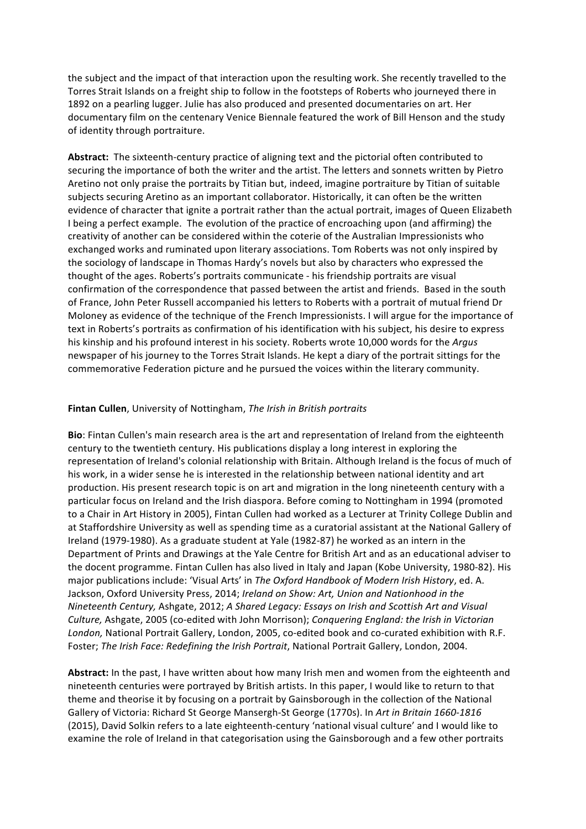the subject and the impact of that interaction upon the resulting work. She recently travelled to the Torres Strait Islands on a freight ship to follow in the footsteps of Roberts who journeyed there in 1892 on a pearling lugger. Julie has also produced and presented documentaries on art. Her documentary film on the centenary Venice Biennale featured the work of Bill Henson and the study of identity through portraiture.

Abstract: The sixteenth-century practice of aligning text and the pictorial often contributed to securing the importance of both the writer and the artist. The letters and sonnets written by Pietro Aretino not only praise the portraits by Titian but, indeed, imagine portraiture by Titian of suitable subjects securing Aretino as an important collaborator. Historically, it can often be the written evidence of character that ignite a portrait rather than the actual portrait, images of Queen Elizabeth I being a perfect example. The evolution of the practice of encroaching upon (and affirming) the creativity of another can be considered within the coterie of the Australian Impressionists who exchanged works and ruminated upon literary associations. Tom Roberts was not only inspired by the sociology of landscape in Thomas Hardy's novels but also by characters who expressed the thought of the ages. Roberts's portraits communicate - his friendship portraits are visual confirmation of the correspondence that passed between the artist and friends. Based in the south of France, John Peter Russell accompanied his letters to Roberts with a portrait of mutual friend Dr Moloney as evidence of the technique of the French Impressionists. I will argue for the importance of text in Roberts's portraits as confirmation of his identification with his subject, his desire to express his kinship and his profound interest in his society. Roberts wrote 10,000 words for the *Argus* newspaper of his journey to the Torres Strait Islands. He kept a diary of the portrait sittings for the commemorative Federation picture and he pursued the voices within the literary community.

#### **Fintan Cullen**, University of Nottingham, *The Irish in British portraits*

**Bio**: Fintan Cullen's main research area is the art and representation of Ireland from the eighteenth century to the twentieth century. His publications display a long interest in exploring the representation of Ireland's colonial relationship with Britain. Although Ireland is the focus of much of his work, in a wider sense he is interested in the relationship between national identity and art production. His present research topic is on art and migration in the long nineteenth century with a particular focus on Ireland and the Irish diaspora. Before coming to Nottingham in 1994 (promoted to a Chair in Art History in 2005), Fintan Cullen had worked as a Lecturer at Trinity College Dublin and at Staffordshire University as well as spending time as a curatorial assistant at the National Gallery of Ireland (1979-1980). As a graduate student at Yale (1982-87) he worked as an intern in the Department of Prints and Drawings at the Yale Centre for British Art and as an educational adviser to the docent programme. Fintan Cullen has also lived in Italy and Japan (Kobe University, 1980-82). His major publications include: 'Visual Arts' in *The Oxford Handbook of Modern Irish History*, ed. A. Jackson, Oxford University Press, 2014; *Ireland on Show: Art, Union and Nationhood in the Nineteenth Century, Ashgate, 2012; A Shared Legacy: Essays on Irish and Scottish Art and Visual* Culture, Ashgate, 2005 (co-edited with John Morrison); *Conquering England: the Irish in Victorian* London, National Portrait Gallery, London, 2005, co-edited book and co-curated exhibition with R.F. Foster: *The Irish Face: Redefining the Irish Portrait*, National Portrait Gallery, London, 2004.

Abstract: In the past, I have written about how many Irish men and women from the eighteenth and nineteenth centuries were portrayed by British artists. In this paper, I would like to return to that theme and theorise it by focusing on a portrait by Gainsborough in the collection of the National Gallery of Victoria: Richard St George Mansergh-St George (1770s). In Art in Britain 1660-1816 (2015), David Solkin refers to a late eighteenth-century 'national visual culture' and I would like to examine the role of Ireland in that categorisation using the Gainsborough and a few other portraits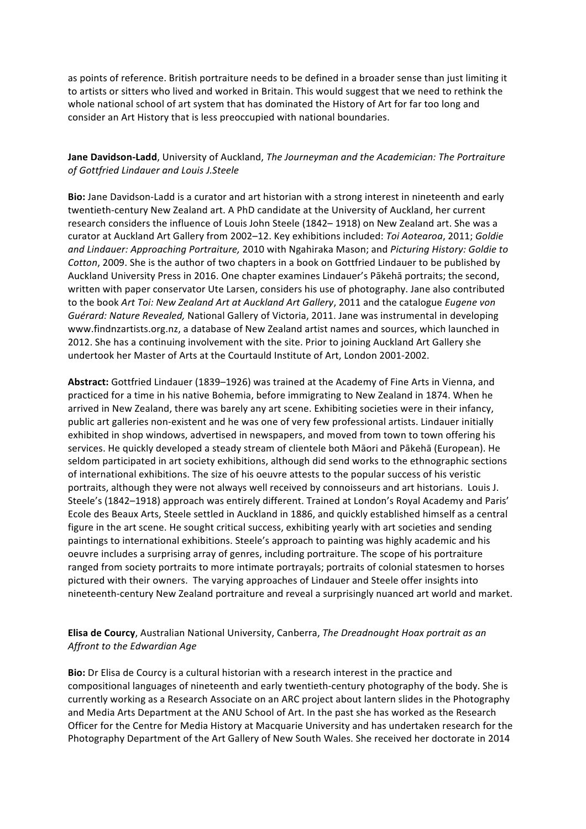as points of reference. British portraiture needs to be defined in a broader sense than just limiting it to artists or sitters who lived and worked in Britain. This would suggest that we need to rethink the whole national school of art system that has dominated the History of Art for far too long and consider an Art History that is less preoccupied with national boundaries.

### **Jane Davidson-Ladd**, University of Auckland, *The Journeyman and the Academician: The Portraiture of Gottfried Lindauer and Louis J.Steele*

**Bio:** Jane Davidson-Ladd is a curator and art historian with a strong interest in nineteenth and early twentieth-century New Zealand art. A PhD candidate at the University of Auckland, her current research considers the influence of Louis John Steele (1842– 1918) on New Zealand art. She was a curator at Auckland Art Gallery from 2002-12. Key exhibitions included: Toi Aotearoa, 2011; Goldie and Lindauer: Approaching Portraiture, 2010 with Ngahiraka Mason; and Picturing History: Goldie to *Cotton*, 2009. She is the author of two chapters in a book on Gottfried Lindauer to be published by Auckland University Press in 2016. One chapter examines Lindauer's Pākehā portraits; the second, written with paper conservator Ute Larsen, considers his use of photography. Jane also contributed to the book Art Toi: New Zealand Art at Auckland Art Gallery, 2011 and the catalogue Eugene von Guérard: Nature Revealed, National Gallery of Victoria, 2011. Jane was instrumental in developing www.findnzartists.org.nz, a database of New Zealand artist names and sources, which launched in 2012. She has a continuing involvement with the site. Prior to joining Auckland Art Gallery she undertook her Master of Arts at the Courtauld Institute of Art, London 2001-2002.

Abstract: Gottfried Lindauer (1839–1926) was trained at the Academy of Fine Arts in Vienna, and practiced for a time in his native Bohemia, before immigrating to New Zealand in 1874. When he arrived in New Zealand, there was barely any art scene. Exhibiting societies were in their infancy, public art galleries non-existent and he was one of very few professional artists. Lindauer initially exhibited in shop windows, advertised in newspapers, and moved from town to town offering his services. He quickly developed a steady stream of clientele both Māori and Pākehā (European). He seldom participated in art society exhibitions, although did send works to the ethnographic sections of international exhibitions. The size of his oeuvre attests to the popular success of his veristic portraits, although they were not always well received by connoisseurs and art historians. Louis J. Steele's (1842–1918) approach was entirely different. Trained at London's Royal Academy and Paris' Ecole des Beaux Arts, Steele settled in Auckland in 1886, and quickly established himself as a central figure in the art scene. He sought critical success, exhibiting yearly with art societies and sending paintings to international exhibitions. Steele's approach to painting was highly academic and his oeuvre includes a surprising array of genres, including portraiture. The scope of his portraiture ranged from society portraits to more intimate portrayals; portraits of colonial statesmen to horses pictured with their owners. The varying approaches of Lindauer and Steele offer insights into nineteenth-century New Zealand portraiture and reveal a surprisingly nuanced art world and market.

## **Elisa de Courcy**, Australian National University, Canberra, *The Dreadnought Hoax portrait as an* Affront to the Edwardian Age

**Bio:** Dr Elisa de Courcy is a cultural historian with a research interest in the practice and compositional languages of nineteenth and early twentieth-century photography of the body. She is currently working as a Research Associate on an ARC project about lantern slides in the Photography and Media Arts Department at the ANU School of Art. In the past she has worked as the Research Officer for the Centre for Media History at Macquarie University and has undertaken research for the Photography Department of the Art Gallery of New South Wales. She received her doctorate in 2014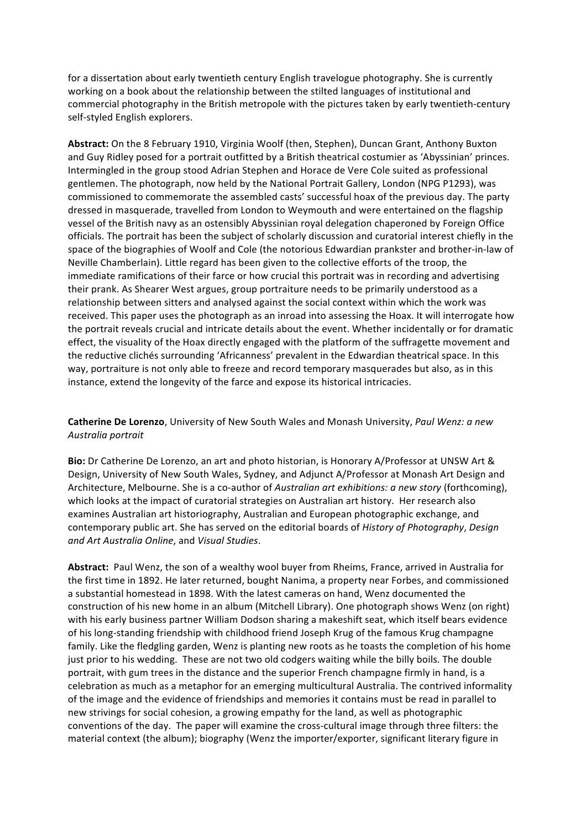for a dissertation about early twentieth century English travelogue photography. She is currently working on a book about the relationship between the stilted languages of institutional and commercial photography in the British metropole with the pictures taken by early twentieth-century self-styled English explorers.

Abstract: On the 8 February 1910, Virginia Woolf (then, Stephen), Duncan Grant, Anthony Buxton and Guy Ridley posed for a portrait outfitted by a British theatrical costumier as 'Abyssinian' princes. Intermingled in the group stood Adrian Stephen and Horace de Vere Cole suited as professional gentlemen. The photograph, now held by the National Portrait Gallery, London (NPG P1293), was commissioned to commemorate the assembled casts' successful hoax of the previous day. The party dressed in masquerade, travelled from London to Weymouth and were entertained on the flagship vessel of the British navy as an ostensibly Abyssinian royal delegation chaperoned by Foreign Office officials. The portrait has been the subject of scholarly discussion and curatorial interest chiefly in the space of the biographies of Woolf and Cole (the notorious Edwardian prankster and brother-in-law of Neville Chamberlain). Little regard has been given to the collective efforts of the troop, the immediate ramifications of their farce or how crucial this portrait was in recording and advertising their prank. As Shearer West argues, group portraiture needs to be primarily understood as a relationship between sitters and analysed against the social context within which the work was received. This paper uses the photograph as an inroad into assessing the Hoax. It will interrogate how the portrait reveals crucial and intricate details about the event. Whether incidentally or for dramatic effect, the visuality of the Hoax directly engaged with the platform of the suffragette movement and the reductive clichés surrounding 'Africanness' prevalent in the Edwardian theatrical space. In this way, portraiture is not only able to freeze and record temporary masquerades but also, as in this instance, extend the longevity of the farce and expose its historical intricacies.

**Catherine De Lorenzo**, University of New South Wales and Monash University, *Paul Wenz: a new Australia portrait*

Bio: Dr Catherine De Lorenzo, an art and photo historian, is Honorary A/Professor at UNSW Art & Design, University of New South Wales, Sydney, and Adjunct A/Professor at Monash Art Design and Architecture, Melbourne. She is a co-author of *Australian art exhibitions: a new story* (forthcoming), which looks at the impact of curatorial strategies on Australian art history. Her research also examines Australian art historiography, Australian and European photographic exchange, and contemporary public art. She has served on the editorial boards of *History of Photography*, *Design and Art Australia Online*, and *Visual Studies*.

Abstract: Paul Wenz, the son of a wealthy wool buyer from Rheims, France, arrived in Australia for the first time in 1892. He later returned, bought Nanima, a property near Forbes, and commissioned a substantial homestead in 1898. With the latest cameras on hand, Wenz documented the construction of his new home in an album (Mitchell Library). One photograph shows Wenz (on right) with his early business partner William Dodson sharing a makeshift seat, which itself bears evidence of his long-standing friendship with childhood friend Joseph Krug of the famous Krug champagne family. Like the fledgling garden, Wenz is planting new roots as he toasts the completion of his home just prior to his wedding. These are not two old codgers waiting while the billy boils. The double portrait, with gum trees in the distance and the superior French champagne firmly in hand, is a celebration as much as a metaphor for an emerging multicultural Australia. The contrived informality of the image and the evidence of friendships and memories it contains must be read in parallel to new strivings for social cohesion, a growing empathy for the land, as well as photographic conventions of the day. The paper will examine the cross-cultural image through three filters: the material context (the album); biography (Wenz the importer/exporter, significant literary figure in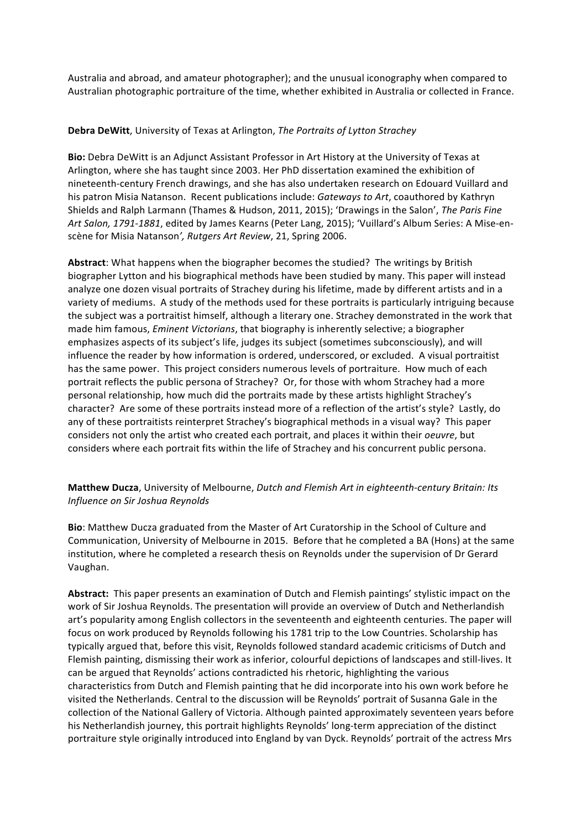Australia and abroad, and amateur photographer); and the unusual iconography when compared to Australian photographic portraiture of the time, whether exhibited in Australia or collected in France.

#### **Debra DeWitt**, University of Texas at Arlington, *The Portraits of Lytton Strachey*

**Bio:** Debra DeWitt is an Adjunct Assistant Professor in Art History at the University of Texas at Arlington, where she has taught since 2003. Her PhD dissertation examined the exhibition of nineteenth-century French drawings, and she has also undertaken research on Edouard Vuillard and his patron Misia Natanson. Recent publications include: *Gateways to Art*, coauthored by Kathryn Shields and Ralph Larmann (Thames & Hudson, 2011, 2015); 'Drawings in the Salon', The Paris Fine Art Salon, 1791-1881, edited by James Kearns (Peter Lang, 2015); 'Vuillard's Album Series: A Mise-enscène for Misia Natanson', Rutgers Art Review, 21, Spring 2006.

Abstract: What happens when the biographer becomes the studied? The writings by British biographer Lytton and his biographical methods have been studied by many. This paper will instead analyze one dozen visual portraits of Strachey during his lifetime, made by different artists and in a variety of mediums. A study of the methods used for these portraits is particularly intriguing because the subject was a portraitist himself, although a literary one. Strachey demonstrated in the work that made him famous, *Eminent Victorians*, that biography is inherently selective; a biographer emphasizes aspects of its subject's life, judges its subject (sometimes subconsciously), and will influence the reader by how information is ordered, underscored, or excluded. A visual portraitist has the same power. This project considers numerous levels of portraiture. How much of each portrait reflects the public persona of Strachey? Or, for those with whom Strachey had a more personal relationship, how much did the portraits made by these artists highlight Strachey's character? Are some of these portraits instead more of a reflection of the artist's style? Lastly, do any of these portraitists reinterpret Strachey's biographical methods in a visual way? This paper considers not only the artist who created each portrait, and places it within their *oeuvre*, but considers where each portrait fits within the life of Strachey and his concurrent public persona.

**Matthew Ducza**, University of Melbourne, *Dutch and Flemish Art in eighteenth-century Britain: Its Influence on Sir Joshua Reynolds*

**Bio:** Matthew Ducza graduated from the Master of Art Curatorship in the School of Culture and Communication, University of Melbourne in 2015. Before that he completed a BA (Hons) at the same institution, where he completed a research thesis on Reynolds under the supervision of Dr Gerard Vaughan. 

**Abstract:** This paper presents an examination of Dutch and Flemish paintings' stylistic impact on the work of Sir Joshua Reynolds. The presentation will provide an overview of Dutch and Netherlandish art's popularity among English collectors in the seventeenth and eighteenth centuries. The paper will focus on work produced by Reynolds following his 1781 trip to the Low Countries. Scholarship has typically argued that, before this visit, Reynolds followed standard academic criticisms of Dutch and Flemish painting, dismissing their work as inferior, colourful depictions of landscapes and still-lives. It can be argued that Reynolds' actions contradicted his rhetoric, highlighting the various characteristics from Dutch and Flemish painting that he did incorporate into his own work before he visited the Netherlands. Central to the discussion will be Reynolds' portrait of Susanna Gale in the collection of the National Gallery of Victoria. Although painted approximately seventeen years before his Netherlandish journey, this portrait highlights Reynolds' long-term appreciation of the distinct portraiture style originally introduced into England by van Dyck. Reynolds' portrait of the actress Mrs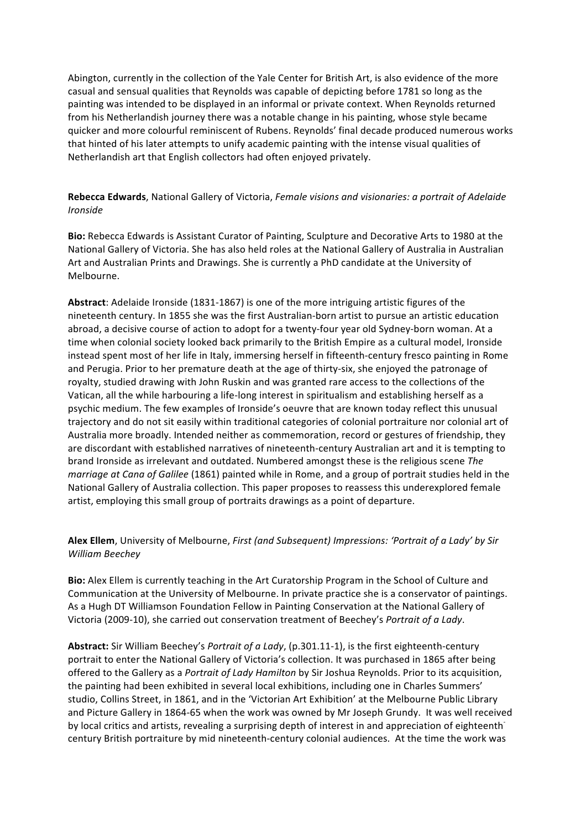Abington, currently in the collection of the Yale Center for British Art, is also evidence of the more casual and sensual qualities that Reynolds was capable of depicting before 1781 so long as the painting was intended to be displayed in an informal or private context. When Reynolds returned from his Netherlandish journey there was a notable change in his painting, whose style became quicker and more colourful reminiscent of Rubens. Reynolds' final decade produced numerous works that hinted of his later attempts to unify academic painting with the intense visual qualities of Netherlandish art that English collectors had often enjoyed privately.

## **Rebecca Edwards**, National Gallery of Victoria, *Female visions and visionaries: a portrait of Adelaide Ironside*

**Bio:** Rebecca Edwards is Assistant Curator of Painting, Sculpture and Decorative Arts to 1980 at the National Gallery of Victoria. She has also held roles at the National Gallery of Australia in Australian Art and Australian Prints and Drawings. She is currently a PhD candidate at the University of Melbourne.

Abstract: Adelaide Ironside (1831-1867) is one of the more intriguing artistic figures of the nineteenth century. In 1855 she was the first Australian-born artist to pursue an artistic education abroad, a decisive course of action to adopt for a twenty-four year old Sydney-born woman. At a time when colonial society looked back primarily to the British Empire as a cultural model, Ironside instead spent most of her life in Italy, immersing herself in fifteenth-century fresco painting in Rome and Perugia. Prior to her premature death at the age of thirty-six, she enjoyed the patronage of royalty, studied drawing with John Ruskin and was granted rare access to the collections of the Vatican, all the while harbouring a life-long interest in spiritualism and establishing herself as a psychic medium. The few examples of Ironside's oeuvre that are known today reflect this unusual trajectory and do not sit easily within traditional categories of colonial portraiture nor colonial art of Australia more broadly. Intended neither as commemoration, record or gestures of friendship, they are discordant with established narratives of nineteenth-century Australian art and it is tempting to brand Ironside as irrelevant and outdated. Numbered amongst these is the religious scene The *marriage at Cana of Galilee* (1861) painted while in Rome, and a group of portrait studies held in the National Gallery of Australia collection. This paper proposes to reassess this underexplored female artist, employing this small group of portraits drawings as a point of departure.

## Alex Ellem, University of Melbourne, *First (and Subsequent) Impressions: 'Portrait of a Lady' by Sir William Beechey*

**Bio:** Alex Ellem is currently teaching in the Art Curatorship Program in the School of Culture and Communication at the University of Melbourne. In private practice she is a conservator of paintings. As a Hugh DT Williamson Foundation Fellow in Painting Conservation at the National Gallery of Victoria (2009-10), she carried out conservation treatment of Beechey's *Portrait of a Lady*.

Abstract: Sir William Beechey's *Portrait of a Lady*, (p.301.11-1), is the first eighteenth-century portrait to enter the National Gallery of Victoria's collection. It was purchased in 1865 after being offered to the Gallery as a *Portrait of Lady Hamilton* by Sir Joshua Reynolds. Prior to its acquisition, the painting had been exhibited in several local exhibitions, including one in Charles Summers' studio, Collins Street, in 1861, and in the 'Victorian Art Exhibition' at the Melbourne Public Library and Picture Gallery in 1864-65 when the work was owned by Mr Joseph Grundy. It was well received by local critics and artists, revealing a surprising depth of interest in and appreciation of eighteenth<sup>-</sup> century British portraiture by mid nineteenth-century colonial audiences. At the time the work was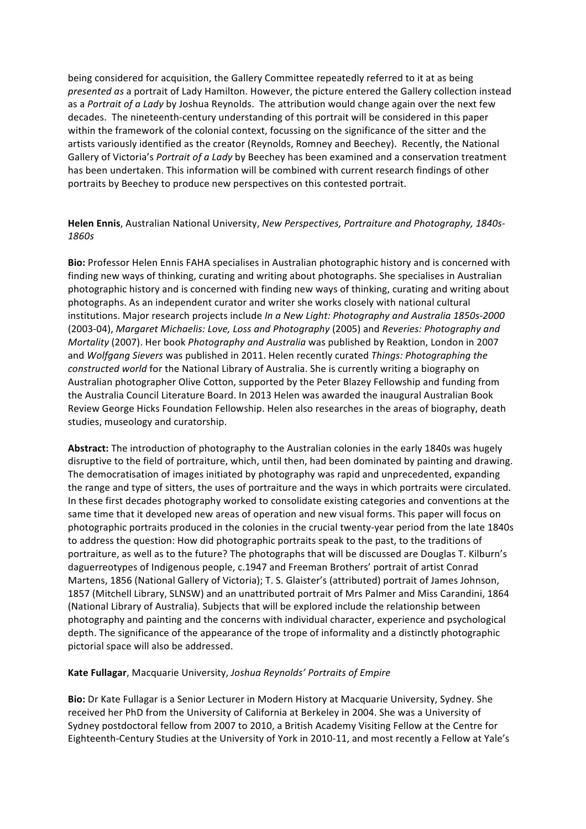being considered for acquisition, the Gallery Committee repeatedly referred to it at as being *presented as* a portrait of Lady Hamilton. However, the picture entered the Gallery collection instead as a *Portrait of a Lady* by Joshua Reynolds. The attribution would change again over the next few decades. The nineteenth-century understanding of this portrait will be considered in this paper within the framework of the colonial context, focussing on the significance of the sitter and the artists variously identified as the creator (Reynolds, Romney and Beechey). Recently, the National Gallery of Victoria's *Portrait of a Lady* by Beechey has been examined and a conservation treatment has been undertaken. This information will be combined with current research findings of other portraits by Beechey to produce new perspectives on this contested portrait.

Helen Ennis, Australian National University, New Perspectives, Portraiture and Photography, 1840s-*1860s*

Bio: Professor Helen Ennis FAHA specialises in Australian photographic history and is concerned with finding new ways of thinking, curating and writing about photographs. She specialises in Australian photographic history and is concerned with finding new ways of thinking, curating and writing about photographs. As an independent curator and writer she works closely with national cultural institutions. Major research projects include *In a New Light: Photography and Australia 1850s-2000* (2003-04), *Margaret Michaelis: Love, Loss and Photography* (2005) and *Reveries: Photography and Mortality* (2007). Her book *Photography and Australia* was published by Reaktion, London in 2007 and *Wolfgang* Sievers was published in 2011. Helen recently curated Things: Photographing the *constructed world* for the National Library of Australia. She is currently writing a biography on Australian photographer Olive Cotton, supported by the Peter Blazey Fellowship and funding from the Australia Council Literature Board. In 2013 Helen was awarded the inaugural Australian Book Review George Hicks Foundation Fellowship. Helen also researches in the areas of biography, death studies, museology and curatorship.

**Abstract:** The introduction of photography to the Australian colonies in the early 1840s was hugely disruptive to the field of portraiture, which, until then, had been dominated by painting and drawing. The democratisation of images initiated by photography was rapid and unprecedented, expanding the range and type of sitters, the uses of portraiture and the ways in which portraits were circulated. In these first decades photography worked to consolidate existing categories and conventions at the same time that it developed new areas of operation and new visual forms. This paper will focus on photographic portraits produced in the colonies in the crucial twenty-year period from the late 1840s to address the question: How did photographic portraits speak to the past, to the traditions of portraiture, as well as to the future? The photographs that will be discussed are Douglas T. Kilburn's daguerreotypes of Indigenous people, c.1947 and Freeman Brothers' portrait of artist Conrad Martens, 1856 (National Gallery of Victoria); T. S. Glaister's (attributed) portrait of James Johnson, 1857 (Mitchell Library, SLNSW) and an unattributed portrait of Mrs Palmer and Miss Carandini, 1864 (National Library of Australia). Subjects that will be explored include the relationship between photography and painting and the concerns with individual character, experience and psychological depth. The significance of the appearance of the trope of informality and a distinctly photographic pictorial space will also be addressed.

#### Kate Fullagar, Macquarie University, Joshua Reynolds' Portraits of Empire

Bio: Dr Kate Fullagar is a Senior Lecturer in Modern History at Macquarie University, Sydney. She received her PhD from the University of California at Berkeley in 2004. She was a University of Sydney postdoctoral fellow from 2007 to 2010, a British Academy Visiting Fellow at the Centre for Eighteenth-Century Studies at the University of York in 2010-11, and most recently a Fellow at Yale's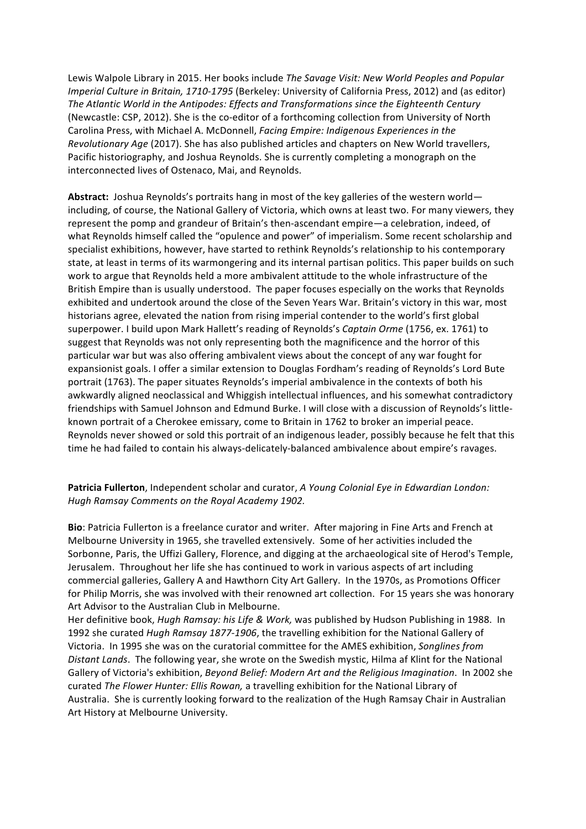Lewis Walpole Library in 2015. Her books include *The Savage Visit: New World Peoples and Popular Imperial Culture in Britain, 1710-1795* (Berkeley: University of California Press, 2012) and (as editor) The Atlantic World in the Antipodes: Effects and Transformations since the Eighteenth Century (Newcastle: CSP, 2012). She is the co-editor of a forthcoming collection from University of North Carolina Press, with Michael A. McDonnell, *Facing Empire: Indigenous Experiences in the Revolutionary Age* (2017). She has also published articles and chapters on New World travellers, Pacific historiography, and Joshua Reynolds. She is currently completing a monograph on the interconnected lives of Ostenaco, Mai, and Reynolds.

Abstract: Joshua Reynolds's portraits hang in most of the key galleries of the western world including, of course, the National Gallery of Victoria, which owns at least two. For many viewers, they represent the pomp and grandeur of Britain's then-ascendant empire—a celebration, indeed, of what Reynolds himself called the "opulence and power" of imperialism. Some recent scholarship and specialist exhibitions, however, have started to rethink Reynolds's relationship to his contemporary state, at least in terms of its warmongering and its internal partisan politics. This paper builds on such work to argue that Reynolds held a more ambivalent attitude to the whole infrastructure of the British Empire than is usually understood. The paper focuses especially on the works that Reynolds exhibited and undertook around the close of the Seven Years War. Britain's victory in this war, most historians agree, elevated the nation from rising imperial contender to the world's first global superpower. I build upon Mark Hallett's reading of Reynolds's Captain Orme (1756, ex. 1761) to suggest that Reynolds was not only representing both the magnificence and the horror of this particular war but was also offering ambivalent views about the concept of any war fought for expansionist goals. I offer a similar extension to Douglas Fordham's reading of Reynolds's Lord Bute portrait (1763). The paper situates Reynolds's imperial ambivalence in the contexts of both his awkwardly aligned neoclassical and Whiggish intellectual influences, and his somewhat contradictory friendships with Samuel Johnson and Edmund Burke. I will close with a discussion of Reynolds's littleknown portrait of a Cherokee emissary, come to Britain in 1762 to broker an imperial peace. Reynolds never showed or sold this portrait of an indigenous leader, possibly because he felt that this time he had failed to contain his always-delicately-balanced ambivalence about empire's ravages.

**Patricia Fullerton**, Independent scholar and curator, *A Young Colonial Eye in Edwardian London: Hugh Ramsay Comments on the Royal Academy 1902.*

**Bio**: Patricia Fullerton is a freelance curator and writer. After majoring in Fine Arts and French at Melbourne University in 1965, she travelled extensively. Some of her activities included the Sorbonne, Paris, the Uffizi Gallery, Florence, and digging at the archaeological site of Herod's Temple, Jerusalem. Throughout her life she has continued to work in various aspects of art including commercial galleries, Gallery A and Hawthorn City Art Gallery. In the 1970s, as Promotions Officer for Philip Morris, she was involved with their renowned art collection. For 15 years she was honorary Art Advisor to the Australian Club in Melbourne.

Her definitive book, *Hugh Ramsay: his Life & Work*, was published by Hudson Publishing in 1988. In 1992 she curated *Hugh Ramsay 1877-1906*, the travelling exhibition for the National Gallery of Victoria. In 1995 she was on the curatorial committee for the AMES exhibition, *Songlines from* Distant Lands. The following year, she wrote on the Swedish mystic, Hilma af Klint for the National Gallery of Victoria's exhibition, *Beyond Belief: Modern Art and the Religious Imagination*. In 2002 she curated The Flower Hunter: Ellis Rowan, a travelling exhibition for the National Library of Australia. She is currently looking forward to the realization of the Hugh Ramsay Chair in Australian Art History at Melbourne University.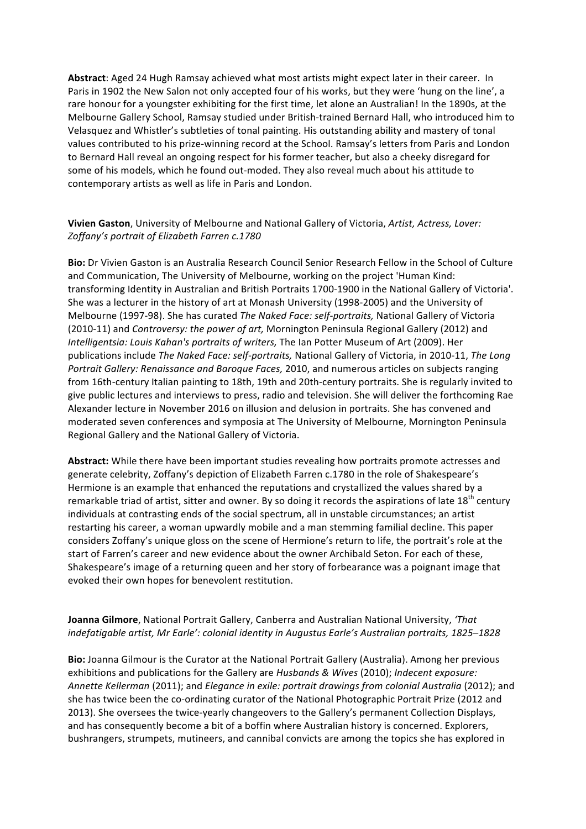Abstract: Aged 24 Hugh Ramsay achieved what most artists might expect later in their career. In Paris in 1902 the New Salon not only accepted four of his works, but they were 'hung on the line', a rare honour for a youngster exhibiting for the first time, let alone an Australian! In the 1890s, at the Melbourne Gallery School, Ramsay studied under British-trained Bernard Hall, who introduced him to Velasquez and Whistler's subtleties of tonal painting. His outstanding ability and mastery of tonal values contributed to his prize-winning record at the School. Ramsay's letters from Paris and London to Bernard Hall reveal an ongoing respect for his former teacher, but also a cheeky disregard for some of his models, which he found out-moded. They also reveal much about his attitude to contemporary artists as well as life in Paris and London.

## **Vivien Gaston**, University of Melbourne and National Gallery of Victoria, Artist, Actress, Lover: Zoffany's portrait of Elizabeth Farren c.1780

Bio: Dr Vivien Gaston is an Australia Research Council Senior Research Fellow in the School of Culture and Communication, The University of Melbourne, working on the project 'Human Kind: transforming Identity in Australian and British Portraits 1700-1900 in the National Gallery of Victoria'. She was a lecturer in the history of art at Monash University (1998-2005) and the University of Melbourne (1997-98). She has curated *The Naked Face: self-portraits,* National Gallery of Victoria (2010-11) and *Controversy: the power of art*, Mornington Peninsula Regional Gallery (2012) and *Intelligentsia: Louis Kahan's portraits of writers.* The lan Potter Museum of Art (2009). Her publications include *The Naked Face: self-portraits*, National Gallery of Victoria, in 2010-11, *The Long Portrait Gallery: Renaissance and Baroque Faces,* 2010, and numerous articles on subjects ranging from 16th-century Italian painting to 18th, 19th and 20th-century portraits. She is regularly invited to give public lectures and interviews to press, radio and television. She will deliver the forthcoming Rae Alexander lecture in November 2016 on illusion and delusion in portraits. She has convened and moderated seven conferences and symposia at The University of Melbourne, Mornington Peninsula Regional Gallery and the National Gallery of Victoria.

**Abstract:** While there have been important studies revealing how portraits promote actresses and generate celebrity, Zoffany's depiction of Elizabeth Farren c.1780 in the role of Shakespeare's Hermione is an example that enhanced the reputations and crystallized the values shared by a remarkable triad of artist, sitter and owner. By so doing it records the aspirations of late  $18^{th}$  century individuals at contrasting ends of the social spectrum, all in unstable circumstances; an artist restarting his career, a woman upwardly mobile and a man stemming familial decline. This paper considers Zoffany's unique gloss on the scene of Hermione's return to life, the portrait's role at the start of Farren's career and new evidence about the owner Archibald Seton. For each of these, Shakespeare's image of a returning queen and her story of forbearance was a poignant image that evoked their own hopes for benevolent restitution.

## **Joanna Gilmore**, National Portrait Gallery, Canberra and Australian National University, *'That indefatigable artist, Mr Earle': colonial identity in Augustus Earle's Australian portraits, 1825–1828*

**Bio:** Joanna Gilmour is the Curator at the National Portrait Gallery (Australia). Among her previous exhibitions and publications for the Gallery are *Husbands & Wives* (2010); *Indecent exposure:* Annette Kellerman (2011); and *Elegance in exile: portrait drawings from colonial Australia* (2012); and she has twice been the co-ordinating curator of the National Photographic Portrait Prize (2012 and 2013). She oversees the twice-yearly changeovers to the Gallery's permanent Collection Displays, and has consequently become a bit of a boffin where Australian history is concerned. Explorers, bushrangers, strumpets, mutineers, and cannibal convicts are among the topics she has explored in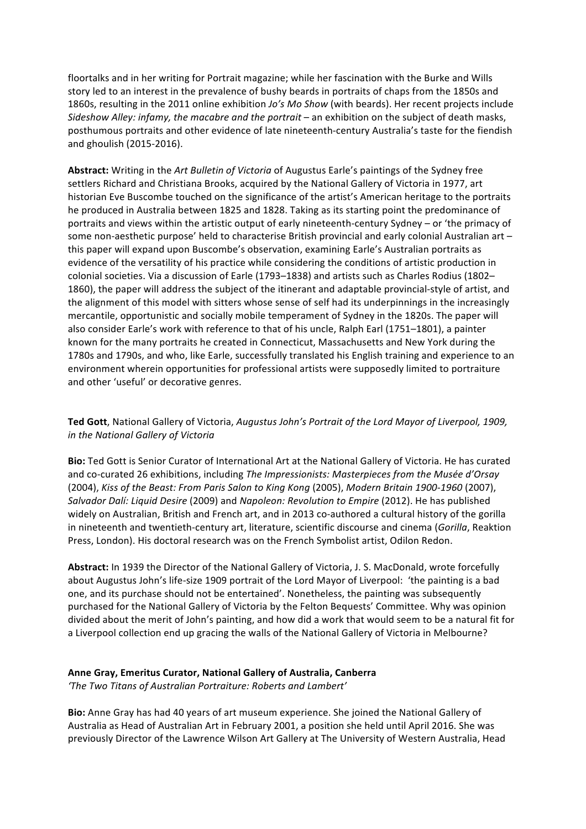floortalks and in her writing for Portrait magazine; while her fascination with the Burke and Wills story led to an interest in the prevalence of bushy beards in portraits of chaps from the 1850s and 1860s, resulting in the 2011 online exhibition *Jo's Mo Show* (with beards). Her recent projects include *Sideshow Alley: infamy, the macabre and the portrait* – an exhibition on the subject of death masks, posthumous portraits and other evidence of late nineteenth-century Australia's taste for the fiendish and ghoulish (2015-2016).

**Abstract:** Writing in the *Art Bulletin of Victoria* of Augustus Earle's paintings of the Sydney free settlers Richard and Christiana Brooks, acquired by the National Gallery of Victoria in 1977, art historian Eve Buscombe touched on the significance of the artist's American heritage to the portraits he produced in Australia between 1825 and 1828. Taking as its starting point the predominance of portraits and views within the artistic output of early nineteenth-century Sydney – or 'the primacy of some non-aesthetic purpose' held to characterise British provincial and early colonial Australian art – this paper will expand upon Buscombe's observation, examining Earle's Australian portraits as evidence of the versatility of his practice while considering the conditions of artistic production in colonial societies. Via a discussion of Earle (1793–1838) and artists such as Charles Rodius (1802– 1860), the paper will address the subject of the itinerant and adaptable provincial-style of artist, and the alignment of this model with sitters whose sense of self had its underpinnings in the increasingly mercantile, opportunistic and socially mobile temperament of Sydney in the 1820s. The paper will also consider Earle's work with reference to that of his uncle, Ralph Earl (1751–1801), a painter known for the many portraits he created in Connecticut, Massachusetts and New York during the 1780s and 1790s, and who, like Earle, successfully translated his English training and experience to an environment wherein opportunities for professional artists were supposedly limited to portraiture and other 'useful' or decorative genres.

Ted Gott, National Gallery of Victoria, *Augustus John's Portrait of the Lord Mayor of Liverpool, 1909, in the National Gallery of Victoria*

**Bio:** Ted Gott is Senior Curator of International Art at the National Gallery of Victoria. He has curated and co-curated 26 exhibitions, including *The Impressionists: Masterpieces from the Musée d'Orsay* (2004), Kiss of the Beast: From Paris Salon to King Kong (2005), Modern Britain 1900-1960 (2007), *Salvador Dalí: Liquid Desire* (2009) and *Napoleon: Revolution to Empire* (2012). He has published widely on Australian, British and French art, and in 2013 co-authored a cultural history of the gorilla in nineteenth and twentieth-century art, literature, scientific discourse and cinema (*Gorilla*, Reaktion Press, London). His doctoral research was on the French Symbolist artist, Odilon Redon.

Abstract: In 1939 the Director of the National Gallery of Victoria, J. S. MacDonald, wrote forcefully about Augustus John's life-size 1909 portrait of the Lord Mayor of Liverpool: 'the painting is a bad one, and its purchase should not be entertained'. Nonetheless, the painting was subsequently purchased for the National Gallery of Victoria by the Felton Bequests' Committee. Why was opinion divided about the merit of John's painting, and how did a work that would seem to be a natural fit for a Liverpool collection end up gracing the walls of the National Gallery of Victoria in Melbourne?

#### **Anne Gray, Emeritus Curator, National Gallery of Australia, Canberra**

'The Two Titans of Australian Portraiture: Roberts and Lambert'

**Bio:** Anne Gray has had 40 years of art museum experience. She joined the National Gallery of Australia as Head of Australian Art in February 2001, a position she held until April 2016. She was previously Director of the Lawrence Wilson Art Gallery at The University of Western Australia, Head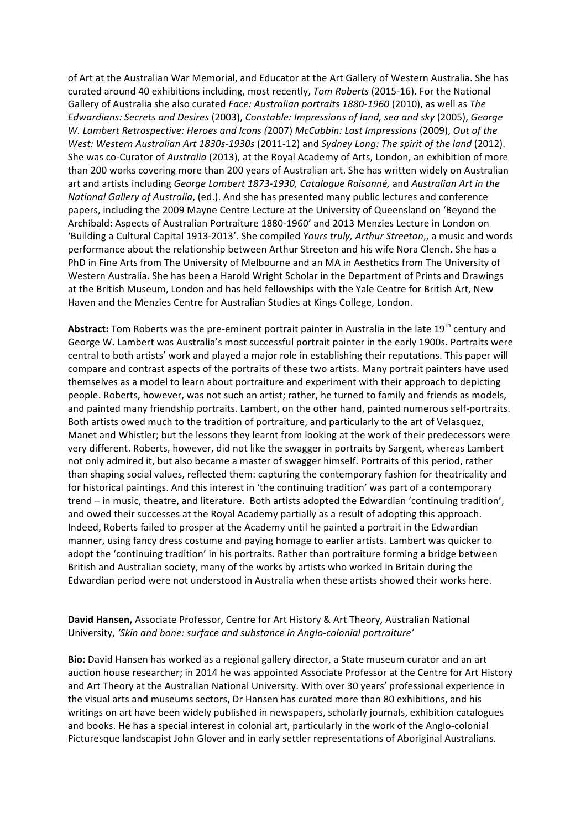of Art at the Australian War Memorial, and Educator at the Art Gallery of Western Australia. She has curated around 40 exhibitions including, most recently, Tom Roberts (2015-16). For the National Gallery of Australia she also curated *Face: Australian portraits* 1880-1960 (2010), as well as The Edwardians: Secrets and Desires (2003), Constable: Impressions of land, sea and sky (2005), George W. Lambert Retrospective: Heroes and Icons (2007) McCubbin: Last Impressions (2009), Out of the *West: Western Australian Art 1830s-1930s* (2011-12) and *Sydney Long: The spirit of the land* (2012). She was co-Curator of *Australia* (2013), at the Royal Academy of Arts, London, an exhibition of more than 200 works covering more than 200 years of Australian art. She has written widely on Australian art and artists including *George Lambert 1873-1930, Catalogue Raisonné,* and *Australian Art in the National Gallery of Australia,* (ed.). And she has presented many public lectures and conference papers, including the 2009 Mayne Centre Lecture at the University of Queensland on 'Beyond the Archibald: Aspects of Australian Portraiture 1880-1960' and 2013 Menzies Lecture in London on 'Building a Cultural Capital 1913-2013'. She compiled Yours truly, Arthur Streeton,, a music and words performance about the relationship between Arthur Streeton and his wife Nora Clench. She has a PhD in Fine Arts from The University of Melbourne and an MA in Aesthetics from The University of Western Australia. She has been a Harold Wright Scholar in the Department of Prints and Drawings at the British Museum, London and has held fellowships with the Yale Centre for British Art, New Haven and the Menzies Centre for Australian Studies at Kings College, London.

Abstract: Tom Roberts was the pre-eminent portrait painter in Australia in the late 19<sup>th</sup> century and George W. Lambert was Australia's most successful portrait painter in the early 1900s. Portraits were central to both artists' work and played a major role in establishing their reputations. This paper will compare and contrast aspects of the portraits of these two artists. Many portrait painters have used themselves as a model to learn about portraiture and experiment with their approach to depicting people. Roberts, however, was not such an artist; rather, he turned to family and friends as models, and painted many friendship portraits. Lambert, on the other hand, painted numerous self-portraits. Both artists owed much to the tradition of portraiture, and particularly to the art of Velasquez, Manet and Whistler; but the lessons they learnt from looking at the work of their predecessors were very different. Roberts, however, did not like the swagger in portraits by Sargent, whereas Lambert not only admired it, but also became a master of swagger himself. Portraits of this period, rather than shaping social values, reflected them: capturing the contemporary fashion for theatricality and for historical paintings. And this interest in 'the continuing tradition' was part of a contemporary trend – in music, theatre, and literature. Both artists adopted the Edwardian 'continuing tradition', and owed their successes at the Royal Academy partially as a result of adopting this approach. Indeed, Roberts failed to prosper at the Academy until he painted a portrait in the Edwardian manner, using fancy dress costume and paying homage to earlier artists. Lambert was quicker to adopt the 'continuing tradition' in his portraits. Rather than portraiture forming a bridge between British and Australian society, many of the works by artists who worked in Britain during the Edwardian period were not understood in Australia when these artists showed their works here.

#### **David Hansen,** Associate Professor, Centre for Art History & Art Theory, Australian National University, 'Skin and bone: surface and substance in Anglo-colonial portraiture'

**Bio:** David Hansen has worked as a regional gallery director, a State museum curator and an art auction house researcher; in 2014 he was appointed Associate Professor at the Centre for Art History and Art Theory at the Australian National University. With over 30 years' professional experience in the visual arts and museums sectors, Dr Hansen has curated more than 80 exhibitions, and his writings on art have been widely published in newspapers, scholarly journals, exhibition catalogues and books. He has a special interest in colonial art, particularly in the work of the Anglo-colonial Picturesque landscapist John Glover and in early settler representations of Aboriginal Australians.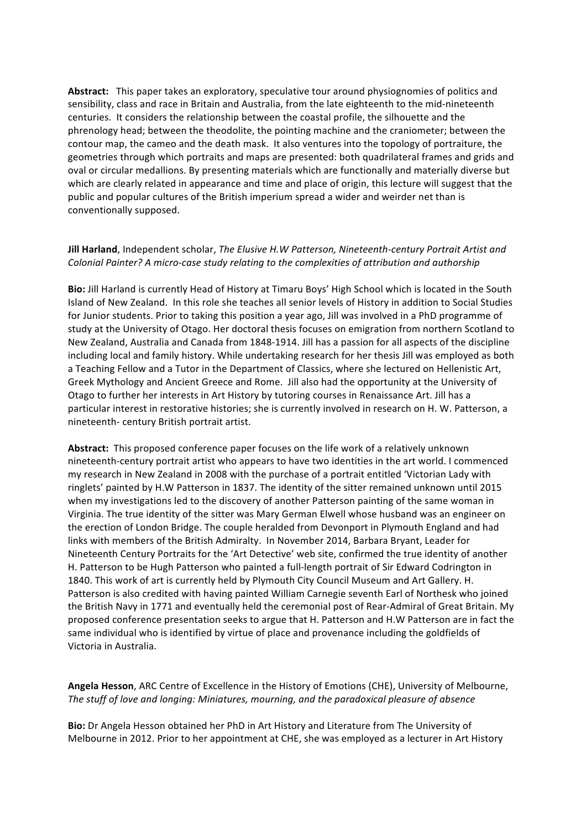Abstract: This paper takes an exploratory, speculative tour around physiognomies of politics and sensibility, class and race in Britain and Australia, from the late eighteenth to the mid-nineteenth centuries. It considers the relationship between the coastal profile, the silhouette and the phrenology head; between the theodolite, the pointing machine and the craniometer; between the contour map, the cameo and the death mask. It also ventures into the topology of portraiture, the geometries through which portraits and maps are presented: both quadrilateral frames and grids and oval or circular medallions. By presenting materials which are functionally and materially diverse but which are clearly related in appearance and time and place of origin, this lecture will suggest that the public and popular cultures of the British imperium spread a wider and weirder net than is conventionally supposed.

## **Jill Harland**, Independent scholar, *The Elusive H.W Patterson, Nineteenth-century Portrait Artist and* Colonial Painter? A micro-case study relating to the complexities of attribution and authorship

**Bio:** Jill Harland is currently Head of History at Timaru Boys' High School which is located in the South Island of New Zealand. In this role she teaches all senior levels of History in addition to Social Studies for Junior students. Prior to taking this position a year ago, Jill was involved in a PhD programme of study at the University of Otago. Her doctoral thesis focuses on emigration from northern Scotland to New Zealand, Australia and Canada from 1848-1914. Jill has a passion for all aspects of the discipline including local and family history. While undertaking research for her thesis Jill was employed as both a Teaching Fellow and a Tutor in the Department of Classics, where she lectured on Hellenistic Art, Greek Mythology and Ancient Greece and Rome. Jill also had the opportunity at the University of Otago to further her interests in Art History by tutoring courses in Renaissance Art. Jill has a particular interest in restorative histories; she is currently involved in research on H. W. Patterson, a nineteenth- century British portrait artist.

**Abstract:** This proposed conference paper focuses on the life work of a relatively unknown nineteenth-century portrait artist who appears to have two identities in the art world. I commenced my research in New Zealand in 2008 with the purchase of a portrait entitled 'Victorian Lady with ringlets' painted by H.W Patterson in 1837. The identity of the sitter remained unknown until 2015 when my investigations led to the discovery of another Patterson painting of the same woman in Virginia. The true identity of the sitter was Mary German Elwell whose husband was an engineer on the erection of London Bridge. The couple heralded from Devonport in Plymouth England and had links with members of the British Admiralty. In November 2014, Barbara Bryant, Leader for Nineteenth Century Portraits for the 'Art Detective' web site, confirmed the true identity of another H. Patterson to be Hugh Patterson who painted a full-length portrait of Sir Edward Codrington in 1840. This work of art is currently held by Plymouth City Council Museum and Art Gallery. H. Patterson is also credited with having painted William Carnegie seventh Earl of Northesk who joined the British Navy in 1771 and eventually held the ceremonial post of Rear-Admiral of Great Britain. My proposed conference presentation seeks to argue that H. Patterson and H.W Patterson are in fact the same individual who is identified by virtue of place and provenance including the goldfields of Victoria in Australia.

Angela Hesson, ARC Centre of Excellence in the History of Emotions (CHE), University of Melbourne, The stuff of love and longing: Miniatures, mourning, and the paradoxical pleasure of absence

**Bio:** Dr Angela Hesson obtained her PhD in Art History and Literature from The University of Melbourne in 2012. Prior to her appointment at CHE, she was employed as a lecturer in Art History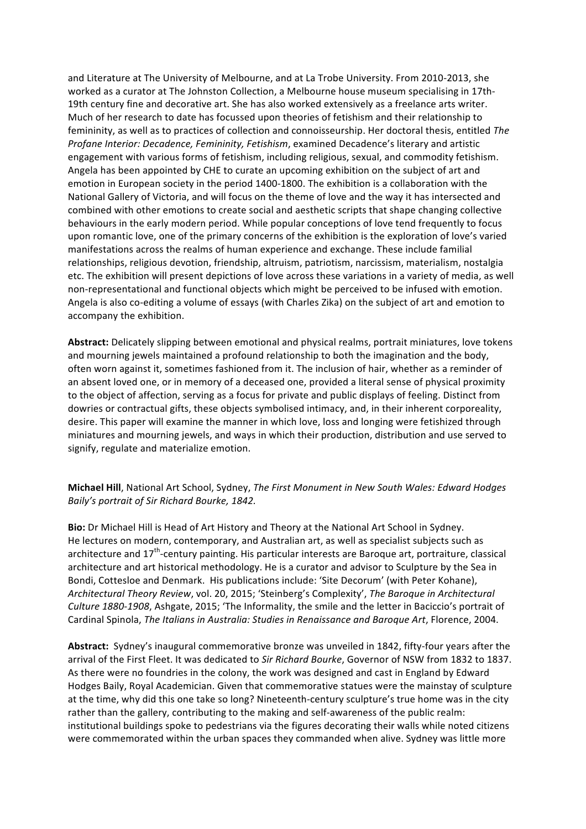and Literature at The University of Melbourne, and at La Trobe University. From 2010-2013, she worked as a curator at The Johnston Collection, a Melbourne house museum specialising in 17th-19th century fine and decorative art. She has also worked extensively as a freelance arts writer. Much of her research to date has focussed upon theories of fetishism and their relationship to femininity, as well as to practices of collection and connoisseurship. Her doctoral thesis, entitled The *Profane Interior: Decadence, Femininity, Fetishism, examined Decadence's literary and artistic* engagement with various forms of fetishism, including religious, sexual, and commodity fetishism. Angela has been appointed by CHE to curate an upcoming exhibition on the subject of art and emotion in European society in the period 1400-1800. The exhibition is a collaboration with the National Gallery of Victoria, and will focus on the theme of love and the way it has intersected and combined with other emotions to create social and aesthetic scripts that shape changing collective behaviours in the early modern period. While popular conceptions of love tend frequently to focus upon romantic love, one of the primary concerns of the exhibition is the exploration of love's varied manifestations across the realms of human experience and exchange. These include familial relationships, religious devotion, friendship, altruism, patriotism, narcissism, materialism, nostalgia etc. The exhibition will present depictions of love across these variations in a variety of media, as well non-representational and functional objects which might be perceived to be infused with emotion. Angela is also co-editing a volume of essays (with Charles Zika) on the subject of art and emotion to accompany the exhibition.

**Abstract:** Delicately slipping between emotional and physical realms, portrait miniatures, love tokens and mourning jewels maintained a profound relationship to both the imagination and the body, often worn against it, sometimes fashioned from it. The inclusion of hair, whether as a reminder of an absent loved one, or in memory of a deceased one, provided a literal sense of physical proximity to the object of affection, serving as a focus for private and public displays of feeling. Distinct from dowries or contractual gifts, these objects symbolised intimacy, and, in their inherent corporeality, desire. This paper will examine the manner in which love, loss and longing were fetishized through miniatures and mourning jewels, and ways in which their production, distribution and use served to signify, regulate and materialize emotion.

#### **Michael Hill**, National Art School, Sydney, *The First Monument in New South Wales: Edward Hodges Baily's portrait of Sir Richard Bourke, 1842.*

**Bio:** Dr Michael Hill is Head of Art History and Theory at the National Art School in Sydney. He lectures on modern, contemporary, and Australian art, as well as specialist subjects such as architecture and  $17<sup>th</sup>$ -century painting. His particular interests are Baroque art, portraiture, classical architecture and art historical methodology. He is a curator and advisor to Sculpture by the Sea in Bondi, Cottesloe and Denmark. His publications include: 'Site Decorum' (with Peter Kohane), *Architectural Theory Review, vol. 20, 2015; 'Steinberg's Complexity', The Baroque in Architectural Culture* 1880-1908, Ashgate, 2015; 'The Informality, the smile and the letter in Baciccio's portrait of Cardinal Spinola, *The Italians in Australia: Studies in Renaissance and Baroque Art*, Florence, 2004.

Abstract: Sydney's inaugural commemorative bronze was unveiled in 1842, fifty-four years after the arrival of the First Fleet. It was dedicated to *Sir Richard Bourke*, Governor of NSW from 1832 to 1837. As there were no foundries in the colony, the work was designed and cast in England by Edward Hodges Baily, Royal Academician. Given that commemorative statues were the mainstay of sculpture at the time, why did this one take so long? Nineteenth-century sculpture's true home was in the city rather than the gallery, contributing to the making and self-awareness of the public realm: institutional buildings spoke to pedestrians via the figures decorating their walls while noted citizens were commemorated within the urban spaces they commanded when alive. Sydney was little more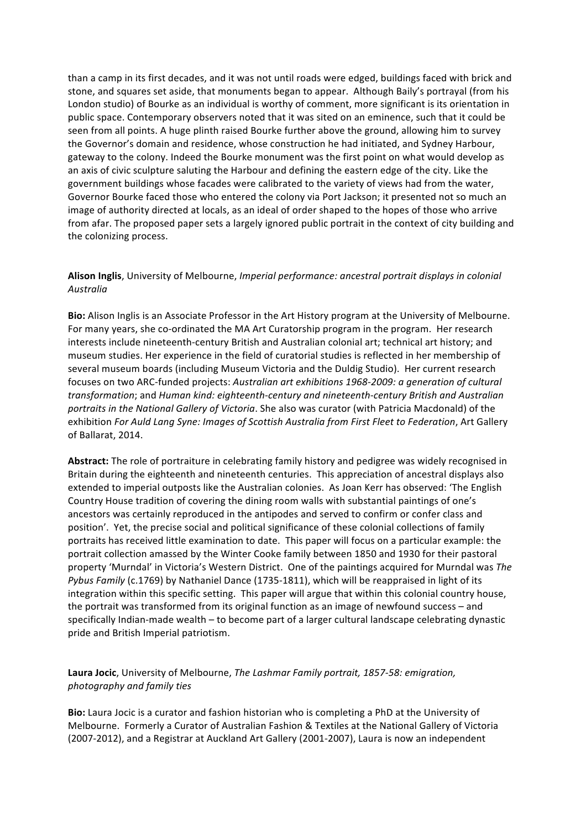than a camp in its first decades, and it was not until roads were edged, buildings faced with brick and stone, and squares set aside, that monuments began to appear. Although Baily's portrayal (from his London studio) of Bourke as an individual is worthy of comment, more significant is its orientation in public space. Contemporary observers noted that it was sited on an eminence, such that it could be seen from all points. A huge plinth raised Bourke further above the ground, allowing him to survey the Governor's domain and residence, whose construction he had initiated, and Sydney Harbour, gateway to the colony. Indeed the Bourke monument was the first point on what would develop as an axis of civic sculpture saluting the Harbour and defining the eastern edge of the city. Like the government buildings whose facades were calibrated to the variety of views had from the water, Governor Bourke faced those who entered the colony via Port Jackson; it presented not so much an image of authority directed at locals, as an ideal of order shaped to the hopes of those who arrive from afar. The proposed paper sets a largely ignored public portrait in the context of city building and the colonizing process.

## **Alison Inglis**, University of Melbourne, *Imperial performance: ancestral portrait displays in colonial Australia*

Bio: Alison Inglis is an Associate Professor in the Art History program at the University of Melbourne. For many years, she co-ordinated the MA Art Curatorship program in the program. Her research interests include nineteenth-century British and Australian colonial art; technical art history; and museum studies. Her experience in the field of curatorial studies is reflected in her membership of several museum boards (including Museum Victoria and the Duldig Studio). Her current research focuses on two ARC-funded projects: Australian art exhibitions 1968-2009: a generation of cultural *transformation*; and *Human kind: eighteenth-century and nineteenth-century British and Australian portraits in the National Gallery of Victoria*. She also was curator (with Patricia Macdonald) of the exhibition For Auld Lang Syne: Images of Scottish Australia from First Fleet to Federation, Art Gallery of Ballarat, 2014.

**Abstract:** The role of portraiture in celebrating family history and pedigree was widely recognised in Britain during the eighteenth and nineteenth centuries. This appreciation of ancestral displays also extended to imperial outposts like the Australian colonies. As Joan Kerr has observed: 'The English Country House tradition of covering the dining room walls with substantial paintings of one's ancestors was certainly reproduced in the antipodes and served to confirm or confer class and position'. Yet, the precise social and political significance of these colonial collections of family portraits has received little examination to date. This paper will focus on a particular example: the portrait collection amassed by the Winter Cooke family between 1850 and 1930 for their pastoral property 'Murndal' in Victoria's Western District. One of the paintings acquired for Murndal was The *Pybus Family* (c.1769) by Nathaniel Dance (1735-1811), which will be reappraised in light of its integration within this specific setting. This paper will argue that within this colonial country house, the portrait was transformed from its original function as an image of newfound success – and specifically Indian-made wealth – to become part of a larger cultural landscape celebrating dynastic pride and British Imperial patriotism.

#### Laura Jocic, University of Melbourne, *The Lashmar Family portrait, 1857-58: emigration, photography and family ties*

**Bio:** Laura Jocic is a curator and fashion historian who is completing a PhD at the University of Melbourne. Formerly a Curator of Australian Fashion & Textiles at the National Gallery of Victoria (2007-2012), and a Registrar at Auckland Art Gallery (2001-2007), Laura is now an independent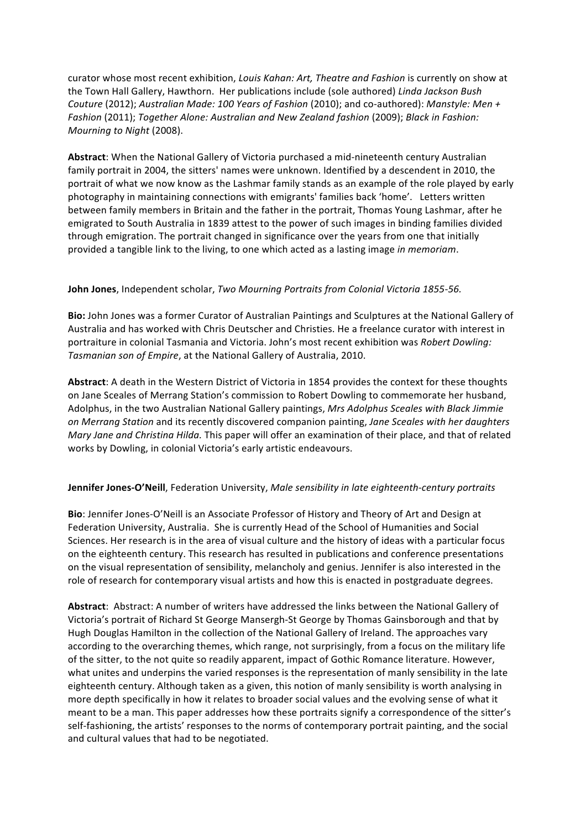curator whose most recent exhibition, *Louis Kahan: Art, Theatre and Fashion* is currently on show at the Town Hall Gallery, Hawthorn. Her publications include (sole authored) Linda Jackson Bush *Couture* (2012); *Australian Made: 100 Years of Fashion* (2010); and co-authored): *Manstyle: Men + Fashion* (2011); *Together Alone: Australian and New Zealand fashion* (2009); *Black in Fashion: Mourning to Night* (2008).

Abstract: When the National Gallery of Victoria purchased a mid-nineteenth century Australian family portrait in 2004, the sitters' names were unknown. Identified by a descendent in 2010, the portrait of what we now know as the Lashmar family stands as an example of the role played by early photography in maintaining connections with emigrants' families back 'home'. Letters written between family members in Britain and the father in the portrait, Thomas Young Lashmar, after he emigrated to South Australia in 1839 attest to the power of such images in binding families divided through emigration. The portrait changed in significance over the years from one that initially provided a tangible link to the living, to one which acted as a lasting image *in memoriam*.

#### **John Jones**, Independent scholar, *Two Mourning Portraits from Colonial Victoria 1855-56.*

**Bio:** John Jones was a former Curator of Australian Paintings and Sculptures at the National Gallery of Australia and has worked with Chris Deutscher and Christies. He a freelance curator with interest in portraiture in colonial Tasmania and Victoria. John's most recent exhibition was *Robert Dowling:* Tasmanian son of Empire, at the National Gallery of Australia, 2010.

Abstract: A death in the Western District of Victoria in 1854 provides the context for these thoughts on Jane Sceales of Merrang Station's commission to Robert Dowling to commemorate her husband, Adolphus, in the two Australian National Gallery paintings, *Mrs Adolphus Sceales with Black Jimmie on Merrang Station* and its recently discovered companion painting, Jane Sceales with her daughters *Mary Jane and Christina Hilda.* This paper will offer an examination of their place, and that of related works by Dowling, in colonial Victoria's early artistic endeavours.

#### **Jennifer Jones-O'Neill**, Federation University, *Male sensibility in late eighteenth-century portraits*

**Bio**: Jennifer Jones-O'Neill is an Associate Professor of History and Theory of Art and Design at Federation University, Australia. She is currently Head of the School of Humanities and Social Sciences. Her research is in the area of visual culture and the history of ideas with a particular focus on the eighteenth century. This research has resulted in publications and conference presentations on the visual representation of sensibility, melancholy and genius. Jennifer is also interested in the role of research for contemporary visual artists and how this is enacted in postgraduate degrees.

Abstract: Abstract: A number of writers have addressed the links between the National Gallery of Victoria's portrait of Richard St George Mansergh-St George by Thomas Gainsborough and that by Hugh Douglas Hamilton in the collection of the National Gallery of Ireland. The approaches vary according to the overarching themes, which range, not surprisingly, from a focus on the military life of the sitter, to the not quite so readily apparent, impact of Gothic Romance literature. However, what unites and underpins the varied responses is the representation of manly sensibility in the late eighteenth century. Although taken as a given, this notion of manly sensibility is worth analysing in more depth specifically in how it relates to broader social values and the evolving sense of what it meant to be a man. This paper addresses how these portraits signify a correspondence of the sitter's self-fashioning, the artists' responses to the norms of contemporary portrait painting, and the social and cultural values that had to be negotiated.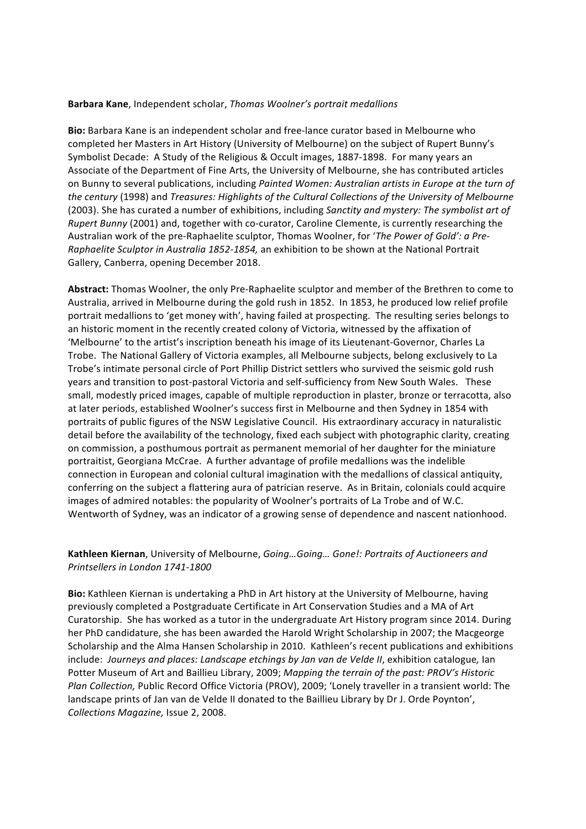#### **Barbara Kane**, Independent scholar, *Thomas Woolner's portrait medallions*

**Bio:** Barbara Kane is an independent scholar and free-lance curator based in Melbourne who completed her Masters in Art History (University of Melbourne) on the subject of Rupert Bunny's Symbolist Decade: A Study of the Religious & Occult images, 1887-1898. For many years an Associate of the Department of Fine Arts, the University of Melbourne, she has contributed articles on Bunny to several publications, including *Painted Women: Australian artists in Europe at the turn of* the century (1998) and *Treasures: Highlights of the Cultural Collections of the University of Melbourne* (2003). She has curated a number of exhibitions, including *Sanctity and mystery: The symbolist art of Rupert Bunny* (2001) and, together with co-curator, Caroline Clemente, is currently researching the Australian work of the pre-Raphaelite sculptor, Thomas Woolner, for '*The Power of Gold': a Pre-Raphaelite Sculptor in Australia 1852-1854,* an exhibition to be shown at the National Portrait Gallery, Canberra, opening December 2018.

Abstract: Thomas Woolner, the only Pre-Raphaelite sculptor and member of the Brethren to come to Australia, arrived in Melbourne during the gold rush in 1852. In 1853, he produced low relief profile portrait medallions to 'get money with', having failed at prospecting. The resulting series belongs to an historic moment in the recently created colony of Victoria, witnessed by the affixation of 'Melbourne' to the artist's inscription beneath his image of its Lieutenant-Governor, Charles La Trobe. The National Gallery of Victoria examples, all Melbourne subjects, belong exclusively to La Trobe's intimate personal circle of Port Phillip District settlers who survived the seismic gold rush years and transition to post-pastoral Victoria and self-sufficiency from New South Wales. These small, modestly priced images, capable of multiple reproduction in plaster, bronze or terracotta, also at later periods, established Woolner's success first in Melbourne and then Sydney in 1854 with portraits of public figures of the NSW Legislative Council. His extraordinary accuracy in naturalistic detail before the availability of the technology, fixed each subject with photographic clarity, creating on commission, a posthumous portrait as permanent memorial of her daughter for the miniature portraitist, Georgiana McCrae. A further advantage of profile medallions was the indelible connection in European and colonial cultural imagination with the medallions of classical antiquity, conferring on the subject a flattering aura of patrician reserve. As in Britain, colonials could acquire images of admired notables: the popularity of Woolner's portraits of La Trobe and of W.C. Wentworth of Sydney, was an indicator of a growing sense of dependence and nascent nationhood.

#### Kathleen Kiernan, University of Melbourne, *Going... Going... Gone!: Portraits of Auctioneers and Printsellers in London 1741-1800*

**Bio:** Kathleen Kiernan is undertaking a PhD in Art history at the University of Melbourne, having previously completed a Postgraduate Certificate in Art Conservation Studies and a MA of Art Curatorship. She has worked as a tutor in the undergraduate Art History program since 2014. During her PhD candidature, she has been awarded the Harold Wright Scholarship in 2007; the Macgeorge Scholarship and the Alma Hansen Scholarship in 2010. Kathleen's recent publications and exhibitions include: Journeys and places: Landscape etchings by Jan van de Velde II, exhibition catalogue, Ian Potter Museum of Art and Baillieu Library, 2009; *Mapping the terrain of the past: PROV's Historic Plan Collection,* Public Record Office Victoria (PROV), 2009; 'Lonely traveller in a transient world: The landscape prints of Jan van de Velde II donated to the Baillieu Library by Dr J. Orde Poynton', *Collections Magazine,* Issue 2, 2008.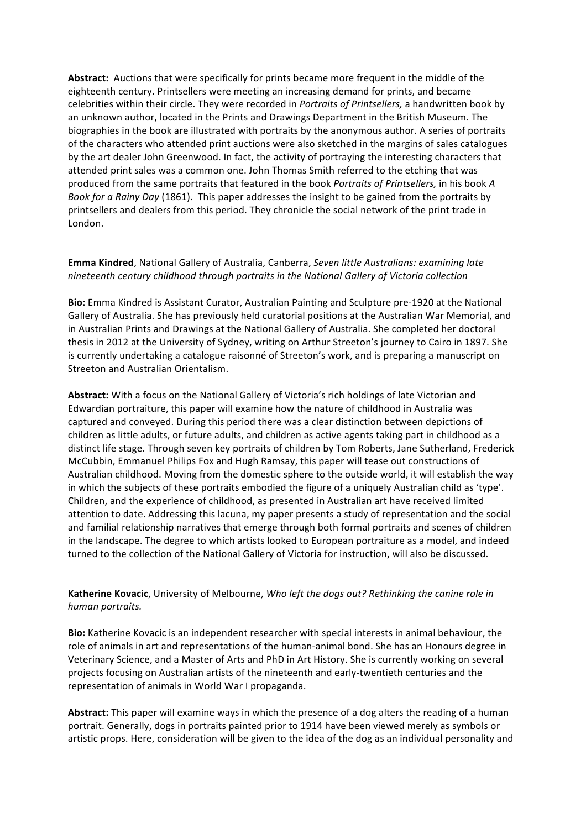Abstract: Auctions that were specifically for prints became more frequent in the middle of the eighteenth century. Printsellers were meeting an increasing demand for prints, and became celebrities within their circle. They were recorded in *Portraits of Printsellers*, a handwritten book by an unknown author, located in the Prints and Drawings Department in the British Museum. The biographies in the book are illustrated with portraits by the anonymous author. A series of portraits of the characters who attended print auctions were also sketched in the margins of sales catalogues by the art dealer John Greenwood. In fact, the activity of portraying the interesting characters that attended print sales was a common one. John Thomas Smith referred to the etching that was produced from the same portraits that featured in the book *Portraits of Printsellers*, in his book *A Book for a Rainy Day* (1861). This paper addresses the insight to be gained from the portraits by printsellers and dealers from this period. They chronicle the social network of the print trade in London.

#### Emma Kindred, National Gallery of Australia, Canberra, Seven little Australians: examining late *nineteenth century childhood through portraits in the National Gallery of Victoria collection*

**Bio:** Emma Kindred is Assistant Curator, Australian Painting and Sculpture pre-1920 at the National Gallery of Australia. She has previously held curatorial positions at the Australian War Memorial, and in Australian Prints and Drawings at the National Gallery of Australia. She completed her doctoral thesis in 2012 at the University of Sydney, writing on Arthur Streeton's journey to Cairo in 1897. She is currently undertaking a catalogue raisonné of Streeton's work, and is preparing a manuscript on Streeton and Australian Orientalism.

Abstract: With a focus on the National Gallery of Victoria's rich holdings of late Victorian and Edwardian portraiture, this paper will examine how the nature of childhood in Australia was captured and conveyed. During this period there was a clear distinction between depictions of children as little adults, or future adults, and children as active agents taking part in childhood as a distinct life stage. Through seven key portraits of children by Tom Roberts, Jane Sutherland, Frederick McCubbin, Emmanuel Philips Fox and Hugh Ramsay, this paper will tease out constructions of Australian childhood. Moving from the domestic sphere to the outside world, it will establish the way in which the subjects of these portraits embodied the figure of a uniquely Australian child as 'type'. Children, and the experience of childhood, as presented in Australian art have received limited attention to date. Addressing this lacuna, my paper presents a study of representation and the social and familial relationship narratives that emerge through both formal portraits and scenes of children in the landscape. The degree to which artists looked to European portraiture as a model, and indeed turned to the collection of the National Gallery of Victoria for instruction, will also be discussed.

#### Katherine Kovacic, University of Melbourne, *Who left the dogs out? Rethinking the canine role in human portraits.*

**Bio:** Katherine Kovacic is an independent researcher with special interests in animal behaviour, the role of animals in art and representations of the human-animal bond. She has an Honours degree in Veterinary Science, and a Master of Arts and PhD in Art History. She is currently working on several projects focusing on Australian artists of the nineteenth and early-twentieth centuries and the representation of animals in World War I propaganda.

**Abstract:** This paper will examine ways in which the presence of a dog alters the reading of a human portrait. Generally, dogs in portraits painted prior to 1914 have been viewed merely as symbols or artistic props. Here, consideration will be given to the idea of the dog as an individual personality and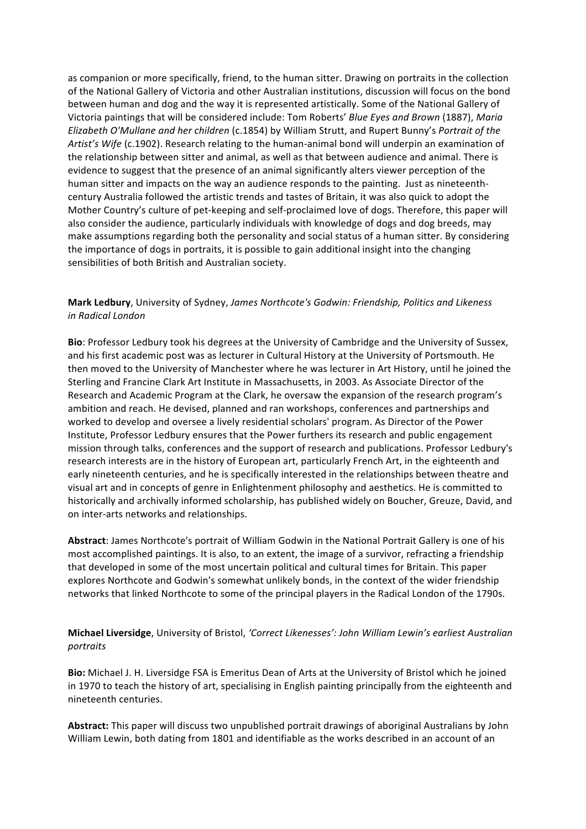as companion or more specifically, friend, to the human sitter. Drawing on portraits in the collection of the National Gallery of Victoria and other Australian institutions, discussion will focus on the bond between human and dog and the way it is represented artistically. Some of the National Gallery of Victoria paintings that will be considered include: Tom Roberts' *Blue Eyes and Brown* (1887), *Maria Elizabeth O'Mullane and her children* (c.1854) by William Strutt, and Rupert Bunny's Portrait of the Artist's Wife (c.1902). Research relating to the human-animal bond will underpin an examination of the relationship between sitter and animal, as well as that between audience and animal. There is evidence to suggest that the presence of an animal significantly alters viewer perception of the human sitter and impacts on the way an audience responds to the painting. Just as nineteenthcentury Australia followed the artistic trends and tastes of Britain, it was also quick to adopt the Mother Country's culture of pet-keeping and self-proclaimed love of dogs. Therefore, this paper will also consider the audience, particularly individuals with knowledge of dogs and dog breeds, may make assumptions regarding both the personality and social status of a human sitter. By considering the importance of dogs in portraits, it is possible to gain additional insight into the changing sensibilities of both British and Australian society.

#### Mark Ledbury, University of Sydney, James Northcote's Godwin: Friendship, Politics and Likeness *in Radical London*

**Bio:** Professor Ledbury took his degrees at the University of Cambridge and the University of Sussex, and his first academic post was as lecturer in Cultural History at the University of Portsmouth. He then moved to the University of Manchester where he was lecturer in Art History, until he joined the Sterling and Francine Clark Art Institute in Massachusetts, in 2003. As Associate Director of the Research and Academic Program at the Clark, he oversaw the expansion of the research program's ambition and reach. He devised, planned and ran workshops, conferences and partnerships and worked to develop and oversee a lively residential scholars' program. As Director of the Power Institute, Professor Ledbury ensures that the Power furthers its research and public engagement mission through talks, conferences and the support of research and publications. Professor Ledbury's research interests are in the history of European art, particularly French Art, in the eighteenth and early nineteenth centuries, and he is specifically interested in the relationships between theatre and visual art and in concepts of genre in Enlightenment philosophy and aesthetics. He is committed to historically and archivally informed scholarship, has published widely on Boucher, Greuze, David, and on inter-arts networks and relationships.

Abstract: James Northcote's portrait of William Godwin in the National Portrait Gallery is one of his most accomplished paintings. It is also, to an extent, the image of a survivor, refracting a friendship that developed in some of the most uncertain political and cultural times for Britain. This paper explores Northcote and Godwin's somewhat unlikely bonds, in the context of the wider friendship networks that linked Northcote to some of the principal players in the Radical London of the 1790s.

#### **Michael Liversidge**, University of Bristol, 'Correct Likenesses': John William Lewin's earliest Australian *portraits*

**Bio:** Michael J. H. Liversidge FSA is Emeritus Dean of Arts at the University of Bristol which he joined in 1970 to teach the history of art, specialising in English painting principally from the eighteenth and nineteenth centuries.

**Abstract:** This paper will discuss two unpublished portrait drawings of aboriginal Australians by John William Lewin, both dating from 1801 and identifiable as the works described in an account of an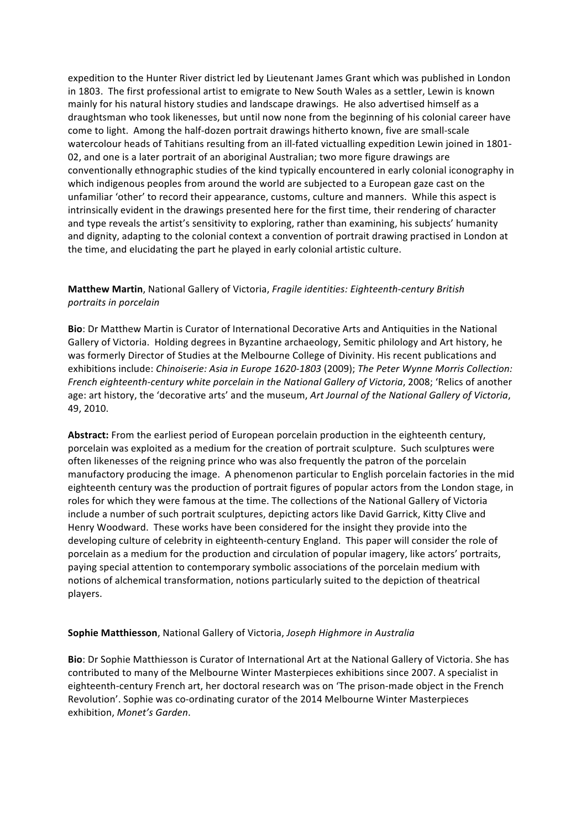expedition to the Hunter River district led by Lieutenant James Grant which was published in London in 1803. The first professional artist to emigrate to New South Wales as a settler, Lewin is known mainly for his natural history studies and landscape drawings. He also advertised himself as a draughtsman who took likenesses, but until now none from the beginning of his colonial career have come to light. Among the half-dozen portrait drawings hitherto known, five are small-scale watercolour heads of Tahitians resulting from an ill-fated victualling expedition Lewin joined in 1801-02, and one is a later portrait of an aboriginal Australian; two more figure drawings are conventionally ethnographic studies of the kind typically encountered in early colonial iconography in which indigenous peoples from around the world are subjected to a European gaze cast on the unfamiliar 'other' to record their appearance, customs, culture and manners. While this aspect is intrinsically evident in the drawings presented here for the first time, their rendering of character and type reveals the artist's sensitivity to exploring, rather than examining, his subjects' humanity and dignity, adapting to the colonial context a convention of portrait drawing practised in London at the time, and elucidating the part he played in early colonial artistic culture.

## **Matthew Martin**, National Gallery of Victoria, *Fragile identities: Eighteenth-century British portraits in porcelain*

**Bio**: Dr Matthew Martin is Curator of International Decorative Arts and Antiquities in the National Gallery of Victoria. Holding degrees in Byzantine archaeology, Semitic philology and Art history, he was formerly Director of Studies at the Melbourne College of Divinity. His recent publications and exhibitions include: *Chinoiserie: Asia in Europe 1620-1803* (2009); *The Peter Wynne Morris Collection: French eighteenth-century white porcelain in the National Gallery of Victoria, 2008; 'Relics of another* age: art history, the 'decorative arts' and the museum, *Art Journal of the National Gallery of Victoria*, 49, 2010.

Abstract: From the earliest period of European porcelain production in the eighteenth century, porcelain was exploited as a medium for the creation of portrait sculpture. Such sculptures were often likenesses of the reigning prince who was also frequently the patron of the porcelain manufactory producing the image. A phenomenon particular to English porcelain factories in the mid eighteenth century was the production of portrait figures of popular actors from the London stage, in roles for which they were famous at the time. The collections of the National Gallery of Victoria include a number of such portrait sculptures, depicting actors like David Garrick, Kitty Clive and Henry Woodward. These works have been considered for the insight they provide into the developing culture of celebrity in eighteenth-century England. This paper will consider the role of porcelain as a medium for the production and circulation of popular imagery, like actors' portraits, paying special attention to contemporary symbolic associations of the porcelain medium with notions of alchemical transformation, notions particularly suited to the depiction of theatrical players.

#### **Sophie Matthiesson**, National Gallery of Victoria, *Joseph Highmore in Australia*

**Bio**: Dr Sophie Matthiesson is Curator of International Art at the National Gallery of Victoria. She has contributed to many of the Melbourne Winter Masterpieces exhibitions since 2007. A specialist in eighteenth-century French art, her doctoral research was on 'The prison-made object in the French Revolution'. Sophie was co-ordinating curator of the 2014 Melbourne Winter Masterpieces exhibition, *Monet's Garden*.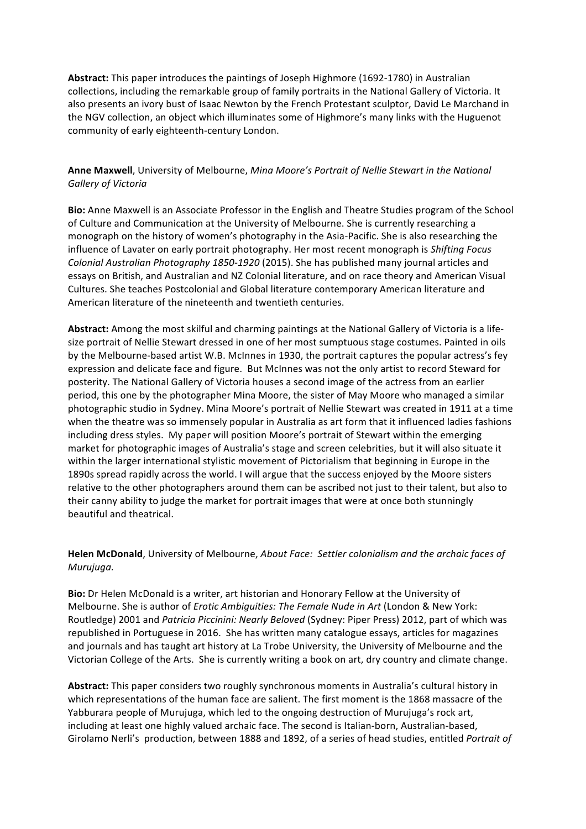Abstract: This paper introduces the paintings of Joseph Highmore (1692-1780) in Australian collections, including the remarkable group of family portraits in the National Gallery of Victoria. It also presents an ivory bust of Isaac Newton by the French Protestant sculptor, David Le Marchand in the NGV collection, an object which illuminates some of Highmore's many links with the Huguenot community of early eighteenth-century London.

**Anne Maxwell**, University of Melbourne, *Mina Moore's Portrait of Nellie Stewart in the National Gallery of Victoria*

**Bio:** Anne Maxwell is an Associate Professor in the English and Theatre Studies program of the School of Culture and Communication at the University of Melbourne. She is currently researching a monograph on the history of women's photography in the Asia-Pacific. She is also researching the influence of Lavater on early portrait photography. Her most recent monograph is *Shifting Focus Colonial Australian Photography 1850-1920* (2015). She has published many journal articles and essays on British, and Australian and NZ Colonial literature, and on race theory and American Visual Cultures. She teaches Postcolonial and Global literature contemporary American literature and American literature of the nineteenth and twentieth centuries.

Abstract: Among the most skilful and charming paintings at the National Gallery of Victoria is a lifesize portrait of Nellie Stewart dressed in one of her most sumptuous stage costumes. Painted in oils by the Melbourne-based artist W.B. McInnes in 1930, the portrait captures the popular actress's fey expression and delicate face and figure. But McInnes was not the only artist to record Steward for posterity. The National Gallery of Victoria houses a second image of the actress from an earlier period, this one by the photographer Mina Moore, the sister of May Moore who managed a similar photographic studio in Sydney. Mina Moore's portrait of Nellie Stewart was created in 1911 at a time when the theatre was so immensely popular in Australia as art form that it influenced ladies fashions including dress styles. My paper will position Moore's portrait of Stewart within the emerging market for photographic images of Australia's stage and screen celebrities, but it will also situate it within the larger international stylistic movement of Pictorialism that beginning in Europe in the 1890s spread rapidly across the world. I will argue that the success enjoyed by the Moore sisters relative to the other photographers around them can be ascribed not just to their talent, but also to their canny ability to judge the market for portrait images that were at once both stunningly beautiful and theatrical.

Helen McDonald, University of Melbourne, *About Face: Settler colonialism and the archaic faces of Murujuga.*

**Bio:** Dr Helen McDonald is a writer, art historian and Honorary Fellow at the University of Melbourne. She is author of *Erotic Ambiquities: The Female Nude in Art* (London & New York: Routledge) 2001 and *Patricia Piccinini: Nearly Beloved* (Sydney: Piper Press) 2012, part of which was republished in Portuguese in 2016. She has written many catalogue essays, articles for magazines and journals and has taught art history at La Trobe University, the University of Melbourne and the Victorian College of the Arts. She is currently writing a book on art, dry country and climate change.

Abstract: This paper considers two roughly synchronous moments in Australia's cultural history in which representations of the human face are salient. The first moment is the 1868 massacre of the Yabburara people of Murujuga, which led to the ongoing destruction of Murujuga's rock art, including at least one highly valued archaic face. The second is Italian-born, Australian-based, Girolamo Nerli's production, between 1888 and 1892, of a series of head studies, entitled Portrait of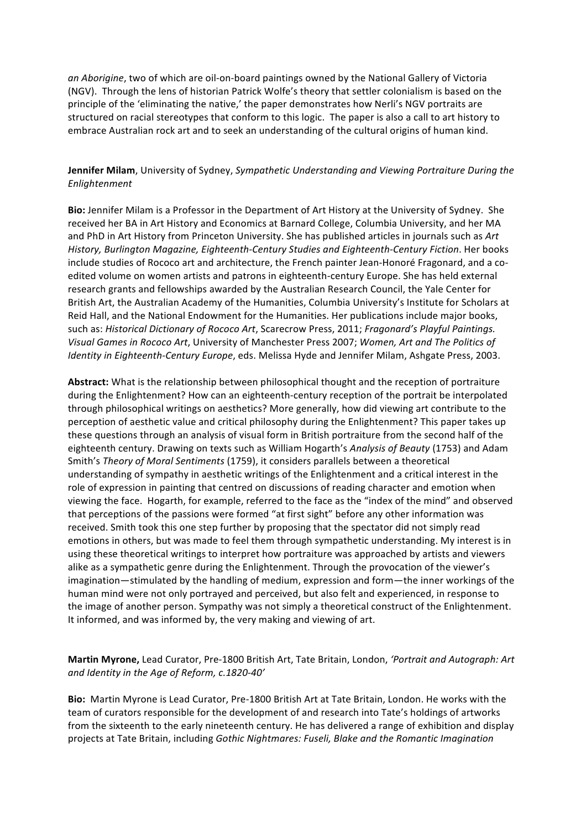*an Aborigine*, two of which are oil-on-board paintings owned by the National Gallery of Victoria (NGV). Through the lens of historian Patrick Wolfe's theory that settler colonialism is based on the principle of the 'eliminating the native,' the paper demonstrates how Nerli's NGV portraits are structured on racial stereotypes that conform to this logic. The paper is also a call to art history to embrace Australian rock art and to seek an understanding of the cultural origins of human kind.

### **Jennifer Milam**, University of Sydney, *Sympathetic Understanding and Viewing Portraiture During the Enlightenment*

**Bio:** Jennifer Milam is a Professor in the Department of Art History at the University of Sydney. She received her BA in Art History and Economics at Barnard College, Columbia University, and her MA and PhD in Art History from Princeton University. She has published articles in journals such as Art History, Burlington Magazine, Eighteenth-Century Studies and Eighteenth-Century Fiction. Her books include studies of Rococo art and architecture, the French painter Jean-Honoré Fragonard, and a coedited volume on women artists and patrons in eighteenth-century Europe. She has held external research grants and fellowships awarded by the Australian Research Council, the Yale Center for British Art, the Australian Academy of the Humanities, Columbia University's Institute for Scholars at Reid Hall, and the National Endowment for the Humanities. Her publications include major books, such as: *Historical Dictionary of Rococo Art*, Scarecrow Press, 2011; *Fragonard's Playful Paintings. Visual Games in Rococo Art*, University of Manchester Press 2007; *Women, Art and The Politics of Identity in Eighteenth-Century Europe*, eds. Melissa Hyde and Jennifer Milam, Ashgate Press, 2003.

Abstract: What is the relationship between philosophical thought and the reception of portraiture during the Enlightenment? How can an eighteenth-century reception of the portrait be interpolated through philosophical writings on aesthetics? More generally, how did viewing art contribute to the perception of aesthetic value and critical philosophy during the Enlightenment? This paper takes up these questions through an analysis of visual form in British portraiture from the second half of the eighteenth century. Drawing on texts such as William Hogarth's Analysis of Beauty (1753) and Adam Smith's *Theory of Moral Sentiments* (1759), it considers parallels between a theoretical understanding of sympathy in aesthetic writings of the Enlightenment and a critical interest in the role of expression in painting that centred on discussions of reading character and emotion when viewing the face. Hogarth, for example, referred to the face as the "index of the mind" and observed that perceptions of the passions were formed "at first sight" before any other information was received. Smith took this one step further by proposing that the spectator did not simply read emotions in others, but was made to feel them through sympathetic understanding. My interest is in using these theoretical writings to interpret how portraiture was approached by artists and viewers alike as a sympathetic genre during the Enlightenment. Through the provocation of the viewer's imagination—stimulated by the handling of medium, expression and form—the inner workings of the human mind were not only portrayed and perceived, but also felt and experienced, in response to the image of another person. Sympathy was not simply a theoretical construct of the Enlightenment. It informed, and was informed by, the very making and viewing of art.

#### **Martin Myrone,** Lead Curator, Pre-1800 British Art, Tate Britain, London, 'Portrait and Autograph: Art and *Identity* in the Age of Reform, c.1820-40'

**Bio:** Martin Myrone is Lead Curator, Pre-1800 British Art at Tate Britain, London. He works with the team of curators responsible for the development of and research into Tate's holdings of artworks from the sixteenth to the early nineteenth century. He has delivered a range of exhibition and display projects at Tate Britain, including *Gothic Nightmares: Fuseli, Blake and the Romantic Imagination*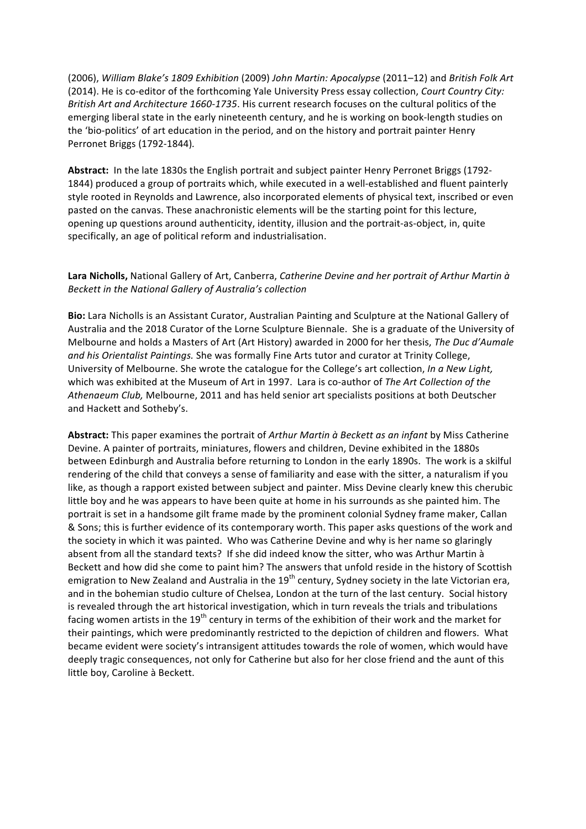(2006), *William Blake's 1809 Exhibition* (2009) *John Martin: Apocalypse* (2011–12) and *British Folk Art* (2014). He is co-editor of the forthcoming Yale University Press essay collection, *Court Country City: British Art and Architecture 1660-1735*. His current research focuses on the cultural politics of the emerging liberal state in the early nineteenth century, and he is working on book-length studies on the 'bio-politics' of art education in the period, and on the history and portrait painter Henry Perronet Briggs (1792-1844)*.*

**Abstract:** In the late 1830s the English portrait and subject painter Henry Perronet Briggs (1792-1844) produced a group of portraits which, while executed in a well-established and fluent painterly style rooted in Reynolds and Lawrence, also incorporated elements of physical text, inscribed or even pasted on the canvas. These anachronistic elements will be the starting point for this lecture, opening up questions around authenticity, identity, illusion and the portrait-as-object, in, quite specifically, an age of political reform and industrialisation.

## Lara Nicholls, National Gallery of Art, Canberra, *Catherine Devine and her portrait of Arthur Martin* à *Beckett in the National Gallery of Australia's collection*

**Bio:** Lara Nicholls is an Assistant Curator, Australian Painting and Sculpture at the National Gallery of Australia and the 2018 Curator of the Lorne Sculpture Biennale. She is a graduate of the University of Melbourne and holds a Masters of Art (Art History) awarded in 2000 for her thesis, *The Duc d'Aumale and his Orientalist Paintings.* She was formally Fine Arts tutor and curator at Trinity College, University of Melbourne. She wrote the catalogue for the College's art collection, *In a New Light*, which was exhibited at the Museum of Art in 1997. Lara is co-author of The Art Collection of the Athenaeum Club, Melbourne, 2011 and has held senior art specialists positions at both Deutscher and Hackett and Sotheby's.

Abstract: This paper examines the portrait of *Arthur Martin à Beckett as an infant* by Miss Catherine Devine. A painter of portraits, miniatures, flowers and children, Devine exhibited in the 1880s between Edinburgh and Australia before returning to London in the early 1890s. The work is a skilful rendering of the child that conveys a sense of familiarity and ease with the sitter, a naturalism if you like, as though a rapport existed between subject and painter. Miss Devine clearly knew this cherubic little boy and he was appears to have been quite at home in his surrounds as she painted him. The portrait is set in a handsome gilt frame made by the prominent colonial Sydney frame maker, Callan & Sons; this is further evidence of its contemporary worth. This paper asks questions of the work and the society in which it was painted. Who was Catherine Devine and why is her name so glaringly absent from all the standard texts? If she did indeed know the sitter, who was Arthur Martin à Beckett and how did she come to paint him? The answers that unfold reside in the history of Scottish emigration to New Zealand and Australia in the 19<sup>th</sup> century, Sydney society in the late Victorian era, and in the bohemian studio culture of Chelsea, London at the turn of the last century. Social history is revealed through the art historical investigation, which in turn reveals the trials and tribulations facing women artists in the  $19<sup>th</sup>$  century in terms of the exhibition of their work and the market for their paintings, which were predominantly restricted to the depiction of children and flowers. What became evident were society's intransigent attitudes towards the role of women, which would have deeply tragic consequences, not only for Catherine but also for her close friend and the aunt of this little boy, Caroline à Beckett.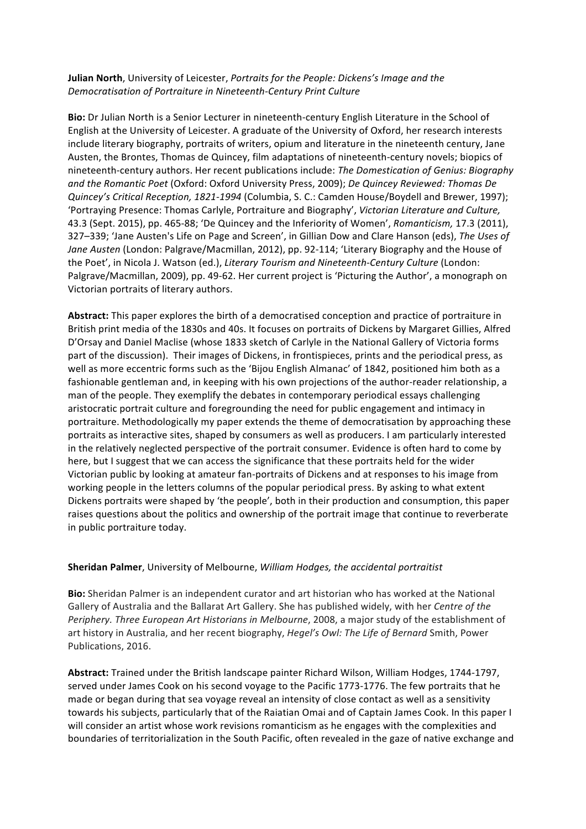#### **Julian North**, University of Leicester, *Portraits for the People: Dickens's Image and the* **Democratisation of Portraiture in Nineteenth-Century Print Culture**

**Bio:** Dr Julian North is a Senior Lecturer in nineteenth-century English Literature in the School of English at the University of Leicester. A graduate of the University of Oxford, her research interests include literary biography, portraits of writers, opium and literature in the nineteenth century, Jane Austen, the Brontes, Thomas de Quincey, film adaptations of nineteenth-century novels; biopics of nineteenth-century authors. Her recent publications include: *The Domestication of Genius: Biography* and the Romantic Poet (Oxford: Oxford University Press, 2009); *De Quincey Reviewed: Thomas De Quincey's Critical Reception, 1821-1994* (Columbia, S. C.: Camden House/Boydell and Brewer, 1997); 'Portraying Presence: Thomas Carlyle, Portraiture and Biography', Victorian Literature and Culture, 43.3 (Sept. 2015), pp. 465-88; 'De Quincey and the Inferiority of Women', *Romanticism,* 17.3 (2011), 327–339; 'Jane Austen's Life on Page and Screen', in Gillian Dow and Clare Hanson (eds), The Uses of Jane Austen (London: Palgrave/Macmillan, 2012), pp. 92-114; 'Literary Biography and the House of the Poet', in Nicola J. Watson (ed.), Literary Tourism and Nineteenth-Century Culture (London: Palgrave/Macmillan, 2009), pp. 49-62. Her current project is 'Picturing the Author', a monograph on Victorian portraits of literary authors.

Abstract: This paper explores the birth of a democratised conception and practice of portraiture in British print media of the 1830s and 40s. It focuses on portraits of Dickens by Margaret Gillies, Alfred D'Orsay and Daniel Maclise (whose 1833 sketch of Carlyle in the National Gallery of Victoria forms part of the discussion). Their images of Dickens, in frontispieces, prints and the periodical press, as well as more eccentric forms such as the 'Bijou English Almanac' of 1842, positioned him both as a fashionable gentleman and, in keeping with his own projections of the author-reader relationship, a man of the people. They exemplify the debates in contemporary periodical essays challenging aristocratic portrait culture and foregrounding the need for public engagement and intimacy in portraiture. Methodologically my paper extends the theme of democratisation by approaching these portraits as interactive sites, shaped by consumers as well as producers. I am particularly interested in the relatively neglected perspective of the portrait consumer. Evidence is often hard to come by here, but I suggest that we can access the significance that these portraits held for the wider Victorian public by looking at amateur fan-portraits of Dickens and at responses to his image from working people in the letters columns of the popular periodical press. By asking to what extent Dickens portraits were shaped by 'the people', both in their production and consumption, this paper raises questions about the politics and ownership of the portrait image that continue to reverberate in public portraiture today.

## **Sheridan Palmer**, University of Melbourne, *William Hodges, the accidental portraitist*

**Bio:** Sheridan Palmer is an independent curator and art historian who has worked at the National Gallery of Australia and the Ballarat Art Gallery. She has published widely, with her *Centre of the Periphery. Three European Art Historians in Melbourne, 2008, a major study of the establishment of* art history in Australia, and her recent biography, *Hegel's Owl: The Life of Bernard* Smith, Power Publications, 2016.

Abstract: Trained under the British landscape painter Richard Wilson, William Hodges, 1744-1797, served under James Cook on his second voyage to the Pacific 1773-1776. The few portraits that he made or began during that sea voyage reveal an intensity of close contact as well as a sensitivity towards his subjects, particularly that of the Raiatian Omai and of Captain James Cook. In this paper I will consider an artist whose work revisions romanticism as he engages with the complexities and boundaries of territorialization in the South Pacific, often revealed in the gaze of native exchange and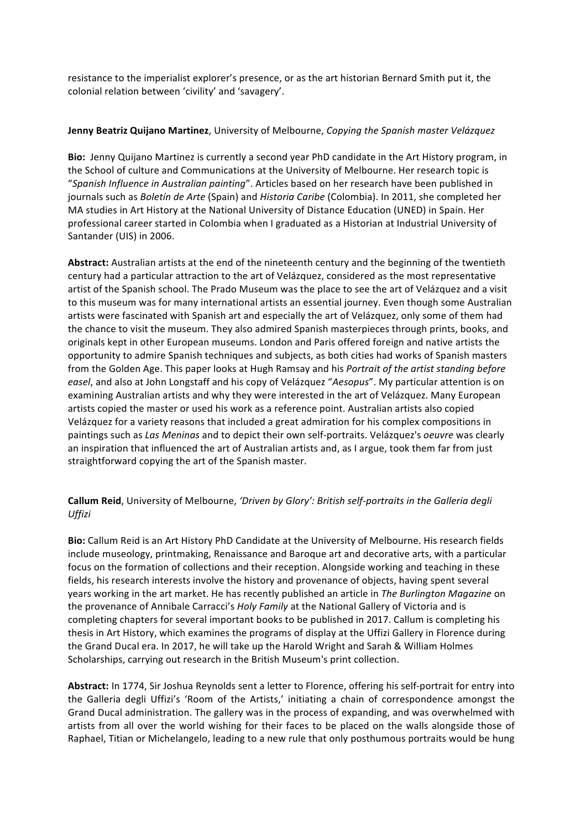resistance to the imperialist explorer's presence, or as the art historian Bernard Smith put it, the colonial relation between 'civility' and 'savagery'.

#### **Jenny Beatriz Quijano Martinez**, University of Melbourne, *Copying the Spanish master Velázquez*

**Bio:** Jenny Quijano Martinez is currently a second year PhD candidate in the Art History program, in the School of culture and Communications at the University of Melbourne. Her research topic is "Spanish Influence in Australian painting". Articles based on her research have been published in journals such as *Boletín de Arte* (Spain) and *Historia Caribe* (Colombia). In 2011, she completed her MA studies in Art History at the National University of Distance Education (UNED) in Spain. Her professional career started in Colombia when I graduated as a Historian at Industrial University of Santander (UIS) in 2006.

Abstract: Australian artists at the end of the nineteenth century and the beginning of the twentieth century had a particular attraction to the art of Velázquez, considered as the most representative artist of the Spanish school. The Prado Museum was the place to see the art of Velázquez and a visit to this museum was for many international artists an essential journey. Even though some Australian artists were fascinated with Spanish art and especially the art of Velázquez, only some of them had the chance to visit the museum. They also admired Spanish masterpieces through prints, books, and originals kept in other European museums. London and Paris offered foreign and native artists the opportunity to admire Spanish techniques and subjects, as both cities had works of Spanish masters from the Golden Age. This paper looks at Hugh Ramsay and his *Portrait of the artist standing before easel*, and also at John Longstaff and his copy of Velázquez "Aesopus". My particular attention is on examining Australian artists and why they were interested in the art of Velázquez. Many European artists copied the master or used his work as a reference point. Australian artists also copied Velázquez for a variety reasons that included a great admiration for his complex compositions in paintings such as *Las Meninas* and to depict their own self-portraits. Velázquez's *oeuvre* was clearly an inspiration that influenced the art of Australian artists and, as I argue, took them far from just straightforward copying the art of the Spanish master.

## Callum Reid, University of Melbourne, 'Driven by Glory': British self-portraits in the Galleria degli *Uffizi*

**Bio:** Callum Reid is an Art History PhD Candidate at the University of Melbourne. His research fields include museology, printmaking, Renaissance and Baroque art and decorative arts, with a particular focus on the formation of collections and their reception. Alongside working and teaching in these fields, his research interests involve the history and provenance of objects, having spent several years working in the art market. He has recently published an article in *The Burlington Magazine* on the provenance of Annibale Carracci's *Holy Family* at the National Gallery of Victoria and is completing chapters for several important books to be published in 2017. Callum is completing his thesis in Art History, which examines the programs of display at the Uffizi Gallery in Florence during the Grand Ducal era. In 2017, he will take up the Harold Wright and Sarah & William Holmes Scholarships, carrying out research in the British Museum's print collection.

Abstract: In 1774, Sir Joshua Reynolds sent a letter to Florence, offering his self-portrait for entry into the Galleria degli Uffizi's 'Room of the Artists,' initiating a chain of correspondence amongst the Grand Ducal administration. The gallery was in the process of expanding, and was overwhelmed with artists from all over the world wishing for their faces to be placed on the walls alongside those of Raphael, Titian or Michelangelo, leading to a new rule that only posthumous portraits would be hung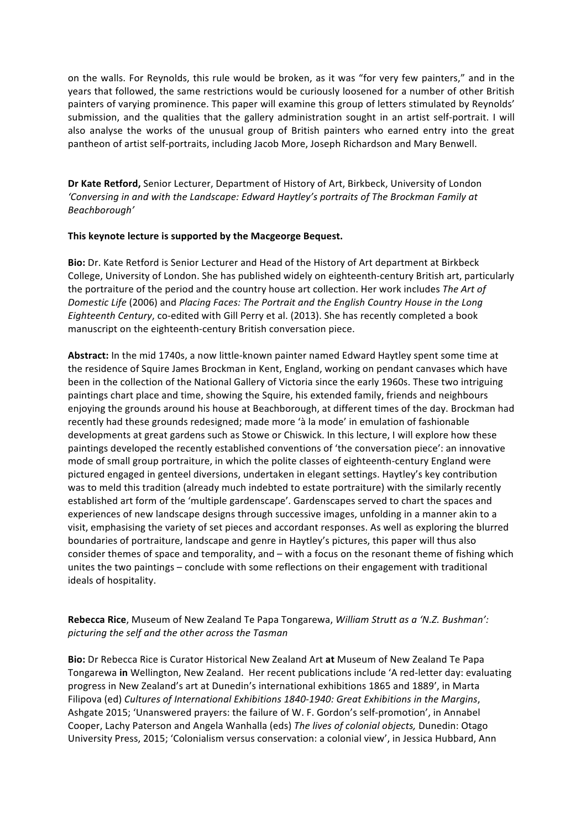on the walls. For Reynolds, this rule would be broken, as it was "for very few painters," and in the years that followed, the same restrictions would be curiously loosened for a number of other British painters of varying prominence. This paper will examine this group of letters stimulated by Reynolds' submission, and the qualities that the gallery administration sought in an artist self-portrait. I will also analyse the works of the unusual group of British painters who earned entry into the great pantheon of artist self-portraits, including Jacob More, Joseph Richardson and Mary Benwell.

**Dr Kate Retford,** Senior Lecturer, Department of History of Art, Birkbeck, University of London 'Conversing in and with the Landscape: Edward Haytley's portraits of The Brockman Family at *Beachborough'* 

#### This keynote lecture is supported by the Macgeorge Bequest.

Bio: Dr. Kate Retford is Senior Lecturer and Head of the History of Art department at Birkbeck College, University of London. She has published widely on eighteenth-century British art, particularly the portraiture of the period and the country house art collection. Her work includes The Art of *Domestic Life* (2006) and *Placing Faces: The Portrait and the English Country House in the Long Eighteenth Century*, co-edited with Gill Perry et al. (2013). She has recently completed a book manuscript on the eighteenth-century British conversation piece.

Abstract: In the mid 1740s, a now little-known painter named Edward Haytley spent some time at the residence of Squire James Brockman in Kent, England, working on pendant canvases which have been in the collection of the National Gallery of Victoria since the early 1960s. These two intriguing paintings chart place and time, showing the Squire, his extended family, friends and neighbours enjoying the grounds around his house at Beachborough, at different times of the day. Brockman had recently had these grounds redesigned; made more 'à la mode' in emulation of fashionable developments at great gardens such as Stowe or Chiswick. In this lecture, I will explore how these paintings developed the recently established conventions of 'the conversation piece': an innovative mode of small group portraiture, in which the polite classes of eighteenth-century England were pictured engaged in genteel diversions, undertaken in elegant settings. Haytley's key contribution was to meld this tradition (already much indebted to estate portraiture) with the similarly recently established art form of the 'multiple gardenscape'. Gardenscapes served to chart the spaces and experiences of new landscape designs through successive images, unfolding in a manner akin to a visit, emphasising the variety of set pieces and accordant responses. As well as exploring the blurred boundaries of portraiture, landscape and genre in Haytley's pictures, this paper will thus also consider themes of space and temporality, and – with a focus on the resonant theme of fishing which unites the two paintings – conclude with some reflections on their engagement with traditional ideals of hospitality.

Rebecca Rice, Museum of New Zealand Te Papa Tongarewa, *William Strutt as a 'N.Z. Bushman': picturing the self and the other across the Tasman*

**Bio:** Dr Rebecca Rice is Curator Historical New Zealand Art at Museum of New Zealand Te Papa Tongarewa in Wellington, New Zealand. Her recent publications include 'A red-letter day: evaluating progress in New Zealand's art at Dunedin's international exhibitions 1865 and 1889', in Marta Filipova (ed) Cultures of International Exhibitions 1840-1940: Great Exhibitions in the Margins, Ashgate 2015; 'Unanswered prayers: the failure of W. F. Gordon's self-promotion', in Annabel Cooper, Lachy Paterson and Angela Wanhalla (eds) The lives of colonial objects, Dunedin: Otago University Press, 2015; 'Colonialism versus conservation: a colonial view', in Jessica Hubbard, Ann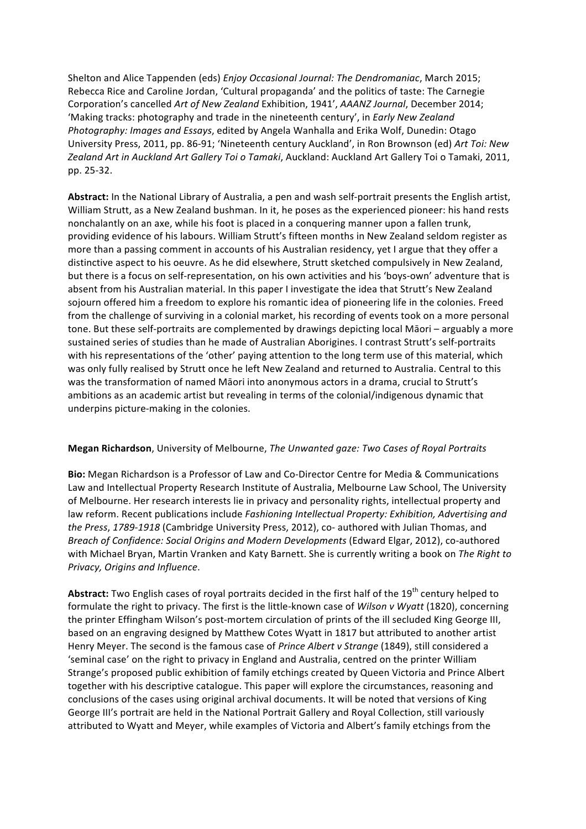Shelton and Alice Tappenden (eds) *Enjoy Occasional Journal: The Dendromaniac*, March 2015; Rebecca Rice and Caroline Jordan, 'Cultural propaganda' and the politics of taste: The Carnegie Corporation's cancelled *Art of New Zealand* Exhibition, 1941', *AAANZ Journal*, December 2014; 'Making tracks: photography and trade in the nineteenth century', in *Early New Zealand Photography: Images and Essays*, edited by Angela Wanhalla and Erika Wolf, Dunedin: Otago University Press, 2011, pp. 86-91; 'Nineteenth century Auckland', in Ron Brownson (ed) Art Toi: New Zealand Art in Auckland Art Gallery Toi o Tamaki, Auckland: Auckland Art Gallery Toi o Tamaki, 2011, pp. 25-32.

Abstract: In the National Library of Australia, a pen and wash self-portrait presents the English artist, William Strutt, as a New Zealand bushman. In it, he poses as the experienced pioneer: his hand rests nonchalantly on an axe, while his foot is placed in a conquering manner upon a fallen trunk, providing evidence of his labours. William Strutt's fifteen months in New Zealand seldom register as more than a passing comment in accounts of his Australian residency, yet I argue that they offer a distinctive aspect to his oeuvre. As he did elsewhere, Strutt sketched compulsively in New Zealand, but there is a focus on self-representation, on his own activities and his 'boys-own' adventure that is absent from his Australian material. In this paper I investigate the idea that Strutt's New Zealand sojourn offered him a freedom to explore his romantic idea of pioneering life in the colonies. Freed from the challenge of surviving in a colonial market, his recording of events took on a more personal tone. But these self-portraits are complemented by drawings depicting local Māori – arguably a more sustained series of studies than he made of Australian Aborigines. I contrast Strutt's self-portraits with his representations of the 'other' paying attention to the long term use of this material, which was only fully realised by Strutt once he left New Zealand and returned to Australia. Central to this was the transformation of named Māori into anonymous actors in a drama, crucial to Strutt's ambitions as an academic artist but revealing in terms of the colonial/indigenous dynamic that underpins picture-making in the colonies.

#### **Megan Richardson**, University of Melbourne, *The Unwanted gaze:* Two Cases of Royal Portraits

Bio: Megan Richardson is a Professor of Law and Co-Director Centre for Media & Communications Law and Intellectual Property Research Institute of Australia, Melbourne Law School, The University of Melbourne. Her research interests lie in privacy and personality rights, intellectual property and law reform. Recent publications include *Fashioning Intellectual Property: Exhibition, Advertising and the Press, 1789-1918* (Cambridge University Press, 2012), co- authored with Julian Thomas, and *Breach of Confidence: Social Origins and Modern Developments* (Edward Elgar, 2012), co-authored with Michael Bryan, Martin Vranken and Katy Barnett. She is currently writing a book on The Right to *Privacy, Origins and Influence*. 

**Abstract:** Two English cases of royal portraits decided in the first half of the 19<sup>th</sup> century helped to formulate the right to privacy. The first is the little-known case of *Wilson v Wyatt* (1820), concerning the printer Effingham Wilson's post-mortem circulation of prints of the ill secluded King George III, based on an engraving designed by Matthew Cotes Wyatt in 1817 but attributed to another artist Henry Meyer. The second is the famous case of *Prince Albert v Strange* (1849), still considered a 'seminal case' on the right to privacy in England and Australia, centred on the printer William Strange's proposed public exhibition of family etchings created by Queen Victoria and Prince Albert together with his descriptive catalogue. This paper will explore the circumstances, reasoning and conclusions of the cases using original archival documents. It will be noted that versions of King George III's portrait are held in the National Portrait Gallery and Royal Collection, still variously attributed to Wyatt and Meyer, while examples of Victoria and Albert's family etchings from the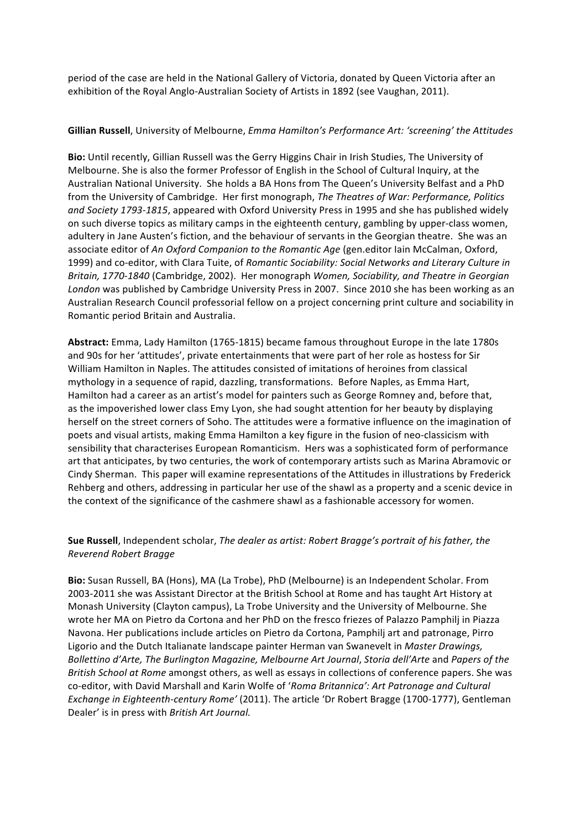period of the case are held in the National Gallery of Victoria, donated by Queen Victoria after an exhibition of the Royal Anglo-Australian Society of Artists in 1892 (see Vaughan, 2011).

#### Gillian Russell, University of Melbourne, *Emma Hamilton's Performance Art: 'screening' the Attitudes*

**Bio:** Until recently, Gillian Russell was the Gerry Higgins Chair in Irish Studies, The University of Melbourne. She is also the former Professor of English in the School of Cultural Inquiry, at the Australian National University. She holds a BA Hons from The Queen's University Belfast and a PhD from the University of Cambridge. Her first monograph, *The Theatres of War: Performance, Politics* and Society 1793-1815, appeared with Oxford University Press in 1995 and she has published widely on such diverse topics as military camps in the eighteenth century, gambling by upper-class women, adultery in Jane Austen's fiction, and the behaviour of servants in the Georgian theatre. She was an associate editor of An Oxford Companion to the Romantic Age (gen.editor Iain McCalman, Oxford, 1999) and co-editor, with Clara Tuite, of *Romantic Sociability: Social Networks and Literary Culture in Britain, 1770-1840* (Cambridge, 2002). Her monograph *Women, Sociability, and Theatre in Georgian* London was published by Cambridge University Press in 2007. Since 2010 she has been working as an Australian Research Council professorial fellow on a project concerning print culture and sociability in Romantic period Britain and Australia.

**Abstract:** Emma, Lady Hamilton (1765-1815) became famous throughout Europe in the late 1780s and 90s for her 'attitudes', private entertainments that were part of her role as hostess for Sir William Hamilton in Naples. The attitudes consisted of imitations of heroines from classical mythology in a sequence of rapid, dazzling, transformations. Before Naples, as Emma Hart, Hamilton had a career as an artist's model for painters such as George Romney and, before that, as the impoverished lower class Emy Lyon, she had sought attention for her beauty by displaying herself on the street corners of Soho. The attitudes were a formative influence on the imagination of poets and visual artists, making Emma Hamilton a key figure in the fusion of neo-classicism with sensibility that characterises European Romanticism. Hers was a sophisticated form of performance art that anticipates, by two centuries, the work of contemporary artists such as Marina Abramovic or Cindy Sherman. This paper will examine representations of the Attitudes in illustrations by Frederick Rehberg and others, addressing in particular her use of the shawl as a property and a scenic device in the context of the significance of the cashmere shawl as a fashionable accessory for women.

## **Sue Russell**, Independent scholar, *The dealer as artist: Robert Bragge's portrait of his father, the Reverend Robert Bragge*

Bio: Susan Russell, BA (Hons), MA (La Trobe), PhD (Melbourne) is an Independent Scholar. From 2003-2011 she was Assistant Director at the British School at Rome and has taught Art History at Monash University (Clayton campus), La Trobe University and the University of Melbourne. She wrote her MA on Pietro da Cortona and her PhD on the fresco friezes of Palazzo Pamphilj in Piazza Navona. Her publications include articles on Pietro da Cortona, Pamphilj art and patronage, Pirro Ligorio and the Dutch Italianate landscape painter Herman van Swanevelt in *Master Drawings, Bollettino d'Arte, The Burlington Magazine, Melbourne Art Journal, Storia dell'Arte and Papers of the British School at Rome* amongst others, as well as essays in collections of conference papers. She was co-editor, with David Marshall and Karin Wolfe of '*Roma Britannica': Art Patronage and Cultural Exchange in Eighteenth-century Rome'* (2011). The article 'Dr Robert Bragge (1700-1777), Gentleman Dealer' is in press with *British Art Journal.*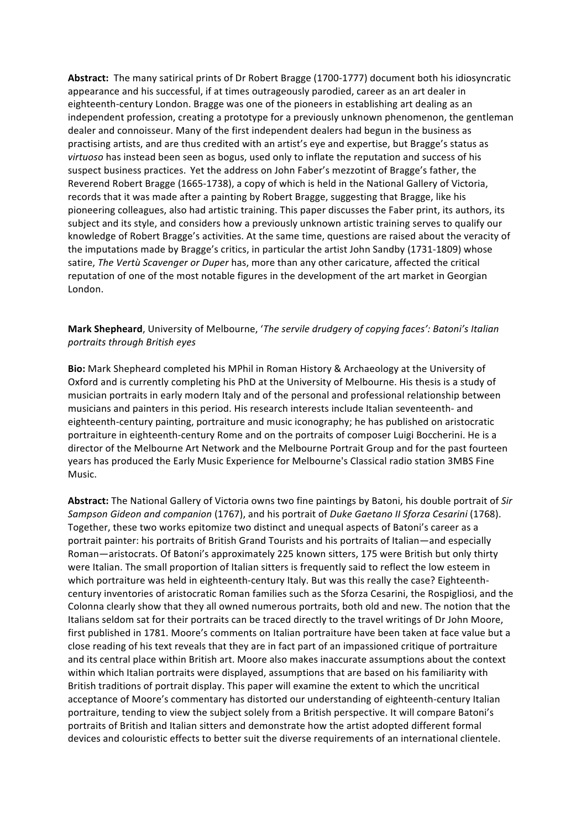Abstract: The many satirical prints of Dr Robert Bragge (1700-1777) document both his idiosyncratic appearance and his successful, if at times outrageously parodied, career as an art dealer in eighteenth-century London. Bragge was one of the pioneers in establishing art dealing as an independent profession, creating a prototype for a previously unknown phenomenon, the gentleman dealer and connoisseur. Many of the first independent dealers had begun in the business as practising artists, and are thus credited with an artist's eye and expertise, but Bragge's status as *virtuoso* has instead been seen as bogus, used only to inflate the reputation and success of his suspect business practices. Yet the address on John Faber's mezzotint of Bragge's father, the Reverend Robert Bragge (1665-1738), a copy of which is held in the National Gallery of Victoria, records that it was made after a painting by Robert Bragge, suggesting that Bragge, like his pioneering colleagues, also had artistic training. This paper discusses the Faber print, its authors, its subject and its style, and considers how a previously unknown artistic training serves to qualify our knowledge of Robert Bragge's activities. At the same time, questions are raised about the veracity of the imputations made by Bragge's critics, in particular the artist John Sandby (1731-1809) whose satire, *The Vertù Scavenger or Duper* has, more than any other caricature, affected the critical reputation of one of the most notable figures in the development of the art market in Georgian London. 

## **Mark Shepheard**, University of Melbourne, '*The servile drudgery of copying faces': Batoni's Italian portraits through British eyes*

**Bio:** Mark Shepheard completed his MPhil in Roman History & Archaeology at the University of Oxford and is currently completing his PhD at the University of Melbourne. His thesis is a study of musician portraits in early modern Italy and of the personal and professional relationship between musicians and painters in this period. His research interests include Italian seventeenth- and eighteenth-century painting, portraiture and music iconography; he has published on aristocratic portraiture in eighteenth-century Rome and on the portraits of composer Luigi Boccherini. He is a director of the Melbourne Art Network and the Melbourne Portrait Group and for the past fourteen years has produced the Early Music Experience for Melbourne's Classical radio station 3MBS Fine Music.

Abstract: The National Gallery of Victoria owns two fine paintings by Batoni, his double portrait of *Sir Sampson Gideon and companion* (1767), and his portrait of *Duke Gaetano II Sforza Cesarini* (1768). Together, these two works epitomize two distinct and unequal aspects of Batoni's career as a portrait painter: his portraits of British Grand Tourists and his portraits of Italian—and especially Roman—aristocrats. Of Batoni's approximately 225 known sitters, 175 were British but only thirty were Italian. The small proportion of Italian sitters is frequently said to reflect the low esteem in which portraiture was held in eighteenth-century Italy. But was this really the case? Eighteenthcentury inventories of aristocratic Roman families such as the Sforza Cesarini, the Rospigliosi, and the Colonna clearly show that they all owned numerous portraits, both old and new. The notion that the Italians seldom sat for their portraits can be traced directly to the travel writings of Dr John Moore, first published in 1781. Moore's comments on Italian portraiture have been taken at face value but a close reading of his text reveals that they are in fact part of an impassioned critique of portraiture and its central place within British art. Moore also makes inaccurate assumptions about the context within which Italian portraits were displayed, assumptions that are based on his familiarity with British traditions of portrait display. This paper will examine the extent to which the uncritical acceptance of Moore's commentary has distorted our understanding of eighteenth-century Italian portraiture, tending to view the subject solely from a British perspective. It will compare Batoni's portraits of British and Italian sitters and demonstrate how the artist adopted different formal devices and colouristic effects to better suit the diverse requirements of an international clientele.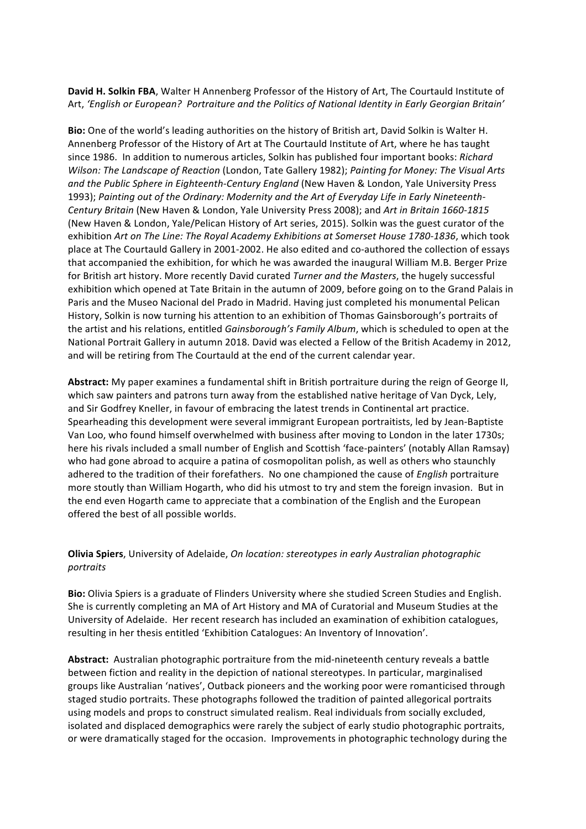David H. Solkin FBA, Walter H Annenberg Professor of the History of Art, The Courtauld Institute of Art, 'English or European? Portraiture and the Politics of National Identity in Early Georgian Britain'

Bio: One of the world's leading authorities on the history of British art, David Solkin is Walter H. Annenberg Professor of the History of Art at The Courtauld Institute of Art, where he has taught since 1986. In addition to numerous articles, Solkin has published four important books: Richard *Wilson: The Landscape of Reaction* (London, Tate Gallery 1982); *Painting for Money: The Visual Arts* and the Public Sphere in Eighteenth-Century England (New Haven & London, Yale University Press 1993); Painting out of the Ordinary: Modernity and the Art of Everyday Life in Early Nineteenth-*Century Britain* (New Haven & London, Yale University Press 2008); and *Art in Britain 1660-1815* (New Haven & London, Yale/Pelican History of Art series, 2015). Solkin was the guest curator of the exhibition Art on The Line: The Royal Academy Exhibitions at Somerset House 1780-1836, which took place at The Courtauld Gallery in 2001-2002. He also edited and co-authored the collection of essays that accompanied the exhibition, for which he was awarded the inaugural William M.B. Berger Prize for British art history. More recently David curated *Turner and the Masters*, the hugely successful exhibition which opened at Tate Britain in the autumn of 2009, before going on to the Grand Palais in Paris and the Museo Nacional del Prado in Madrid. Having just completed his monumental Pelican History, Solkin is now turning his attention to an exhibition of Thomas Gainsborough's portraits of the artist and his relations, entitled *Gainsborough's Family Album*, which is scheduled to open at the National Portrait Gallery in autumn 2018. David was elected a Fellow of the British Academy in 2012. and will be retiring from The Courtauld at the end of the current calendar year.

Abstract: My paper examines a fundamental shift in British portraiture during the reign of George II, which saw painters and patrons turn away from the established native heritage of Van Dyck, Lely, and Sir Godfrey Kneller, in favour of embracing the latest trends in Continental art practice. Spearheading this development were several immigrant European portraitists, led by Jean-Baptiste Van Loo, who found himself overwhelmed with business after moving to London in the later 1730s; here his rivals included a small number of English and Scottish 'face-painters' (notably Allan Ramsay) who had gone abroad to acquire a patina of cosmopolitan polish, as well as others who staunchly adhered to the tradition of their forefathers. No one championed the cause of *English* portraiture more stoutly than William Hogarth, who did his utmost to try and stem the foreign invasion. But in the end even Hogarth came to appreciate that a combination of the English and the European offered the best of all possible worlds.

## **Olivia Spiers**, University of Adelaide, *On location: stereotypes in early Australian photographic portraits*

**Bio:** Olivia Spiers is a graduate of Flinders University where she studied Screen Studies and English. She is currently completing an MA of Art History and MA of Curatorial and Museum Studies at the University of Adelaide. Her recent research has included an examination of exhibition catalogues, resulting in her thesis entitled 'Exhibition Catalogues: An Inventory of Innovation'.

Abstract: Australian photographic portraiture from the mid-nineteenth century reveals a battle between fiction and reality in the depiction of national stereotypes. In particular, marginalised groups like Australian 'natives', Outback pioneers and the working poor were romanticised through staged studio portraits. These photographs followed the tradition of painted allegorical portraits using models and props to construct simulated realism. Real individuals from socially excluded, isolated and displaced demographics were rarely the subject of early studio photographic portraits, or were dramatically staged for the occasion. Improvements in photographic technology during the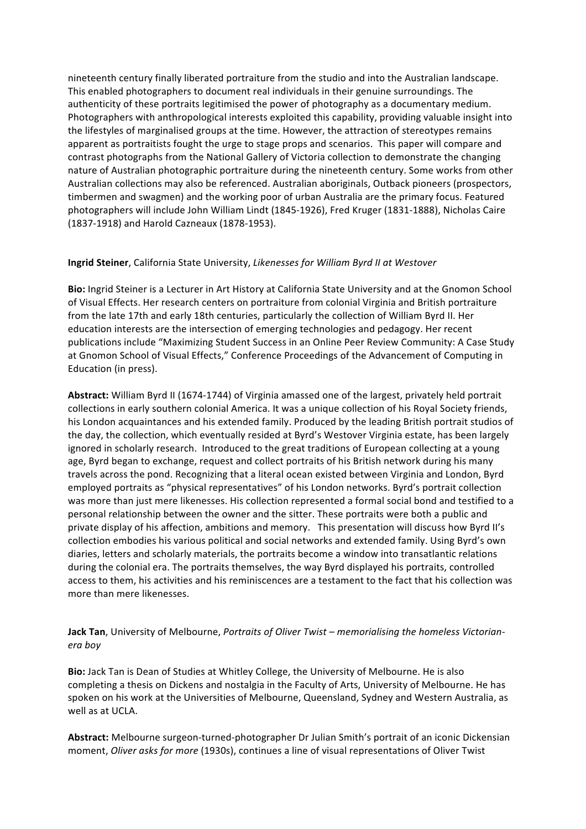nineteenth century finally liberated portraiture from the studio and into the Australian landscape. This enabled photographers to document real individuals in their genuine surroundings. The authenticity of these portraits legitimised the power of photography as a documentary medium. Photographers with anthropological interests exploited this capability, providing valuable insight into the lifestyles of marginalised groups at the time. However, the attraction of stereotypes remains apparent as portraitists fought the urge to stage props and scenarios. This paper will compare and contrast photographs from the National Gallery of Victoria collection to demonstrate the changing nature of Australian photographic portraiture during the nineteenth century. Some works from other Australian collections may also be referenced. Australian aboriginals, Outback pioneers (prospectors, timbermen and swagmen) and the working poor of urban Australia are the primary focus. Featured photographers will include John William Lindt (1845-1926), Fred Kruger (1831-1888), Nicholas Caire (1837-1918) and Harold Cazneaux (1878-1953).

#### **Ingrid Steiner**, California State University, Likenesses for William Byrd II at Westover

**Bio:** Ingrid Steiner is a Lecturer in Art History at California State University and at the Gnomon School of Visual Effects. Her research centers on portraiture from colonial Virginia and British portraiture from the late 17th and early 18th centuries, particularly the collection of William Byrd II. Her education interests are the intersection of emerging technologies and pedagogy. Her recent publications include "Maximizing Student Success in an Online Peer Review Community: A Case Study at Gnomon School of Visual Effects," Conference Proceedings of the Advancement of Computing in Education (in press).

**Abstract:** William Byrd II (1674-1744) of Virginia amassed one of the largest, privately held portrait collections in early southern colonial America. It was a unique collection of his Royal Society friends, his London acquaintances and his extended family. Produced by the leading British portrait studios of the day, the collection, which eventually resided at Byrd's Westover Virginia estate, has been largely ignored in scholarly research. Introduced to the great traditions of European collecting at a young age, Byrd began to exchange, request and collect portraits of his British network during his many travels across the pond. Recognizing that a literal ocean existed between Virginia and London, Byrd employed portraits as "physical representatives" of his London networks. Byrd's portrait collection was more than just mere likenesses. His collection represented a formal social bond and testified to a personal relationship between the owner and the sitter. These portraits were both a public and private display of his affection, ambitions and memory. This presentation will discuss how Byrd II's collection embodies his various political and social networks and extended family. Using Byrd's own diaries, letters and scholarly materials, the portraits become a window into transatlantic relations during the colonial era. The portraits themselves, the way Byrd displayed his portraits, controlled access to them, his activities and his reminiscences are a testament to the fact that his collection was more than mere likenesses.

## **Jack Tan**, University of Melbourne, *Portraits of Oliver Twist* – *memorialising the homeless Victorianera boy*

**Bio:** Jack Tan is Dean of Studies at Whitley College, the University of Melbourne. He is also completing a thesis on Dickens and nostalgia in the Faculty of Arts, University of Melbourne. He has spoken on his work at the Universities of Melbourne, Queensland, Sydney and Western Australia, as well as at UCLA.

Abstract: Melbourne surgeon-turned-photographer Dr Julian Smith's portrait of an iconic Dickensian moment, *Oliver asks for more* (1930s), continues a line of visual representations of Oliver Twist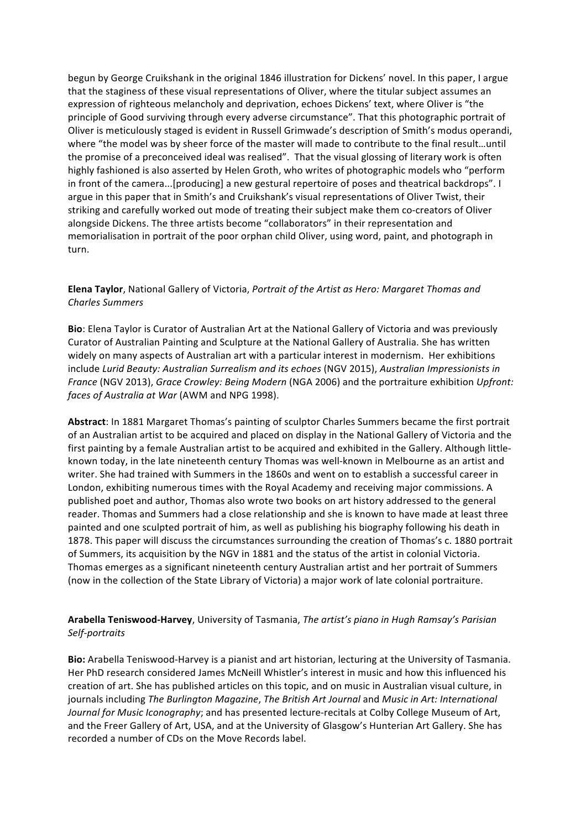begun by George Cruikshank in the original 1846 illustration for Dickens' novel. In this paper, I argue that the staginess of these visual representations of Oliver, where the titular subject assumes an expression of righteous melancholy and deprivation, echoes Dickens' text, where Oliver is "the principle of Good surviving through every adverse circumstance". That this photographic portrait of Oliver is meticulously staged is evident in Russell Grimwade's description of Smith's modus operandi, where "the model was by sheer force of the master will made to contribute to the final result...until the promise of a preconceived ideal was realised". That the visual glossing of literary work is often highly fashioned is also asserted by Helen Groth, who writes of photographic models who "perform in front of the camera...[producing] a new gestural repertoire of poses and theatrical backdrops". I argue in this paper that in Smith's and Cruikshank's visual representations of Oliver Twist, their striking and carefully worked out mode of treating their subject make them co-creators of Oliver alongside Dickens. The three artists become "collaborators" in their representation and memorialisation in portrait of the poor orphan child Oliver, using word, paint, and photograph in turn.

## **Elena Taylor**, National Gallery of Victoria, *Portrait of the Artist as Hero: Margaret Thomas and Charles Summers*

**Bio**: Elena Taylor is Curator of Australian Art at the National Gallery of Victoria and was previously Curator of Australian Painting and Sculpture at the National Gallery of Australia. She has written widely on many aspects of Australian art with a particular interest in modernism. Her exhibitions include *Lurid Beauty: Australian Surrealism and its echoes* (NGV 2015), *Australian Impressionists in France* (NGV 2013), *Grace Crowley: Being Modern* (NGA 2006) and the portraiture exhibition *Upfront: faces of Australia at War* (AWM and NPG 1998).

Abstract: In 1881 Margaret Thomas's painting of sculptor Charles Summers became the first portrait of an Australian artist to be acquired and placed on display in the National Gallery of Victoria and the first painting by a female Australian artist to be acquired and exhibited in the Gallery. Although littleknown today, in the late nineteenth century Thomas was well-known in Melbourne as an artist and writer. She had trained with Summers in the 1860s and went on to establish a successful career in London, exhibiting numerous times with the Royal Academy and receiving major commissions. A published poet and author, Thomas also wrote two books on art history addressed to the general reader. Thomas and Summers had a close relationship and she is known to have made at least three painted and one sculpted portrait of him, as well as publishing his biography following his death in 1878. This paper will discuss the circumstances surrounding the creation of Thomas's c. 1880 portrait of Summers, its acquisition by the NGV in 1881 and the status of the artist in colonial Victoria. Thomas emerges as a significant nineteenth century Australian artist and her portrait of Summers (now in the collection of the State Library of Victoria) a major work of late colonial portraiture.

**Arabella Teniswood-Harvey**, University of Tasmania, *The artist's piano in Hugh Ramsay's Parisian Self-portraits*

Bio: Arabella Teniswood-Harvey is a pianist and art historian, lecturing at the University of Tasmania. Her PhD research considered James McNeill Whistler's interest in music and how this influenced his creation of art. She has published articles on this topic, and on music in Australian visual culture, in journals including *The Burlington Magazine*, *The British Art Journal* and *Music in Art: International Journal for Music Iconography*; and has presented lecture-recitals at Colby College Museum of Art, and the Freer Gallery of Art, USA, and at the University of Glasgow's Hunterian Art Gallery. She has recorded a number of CDs on the Move Records label.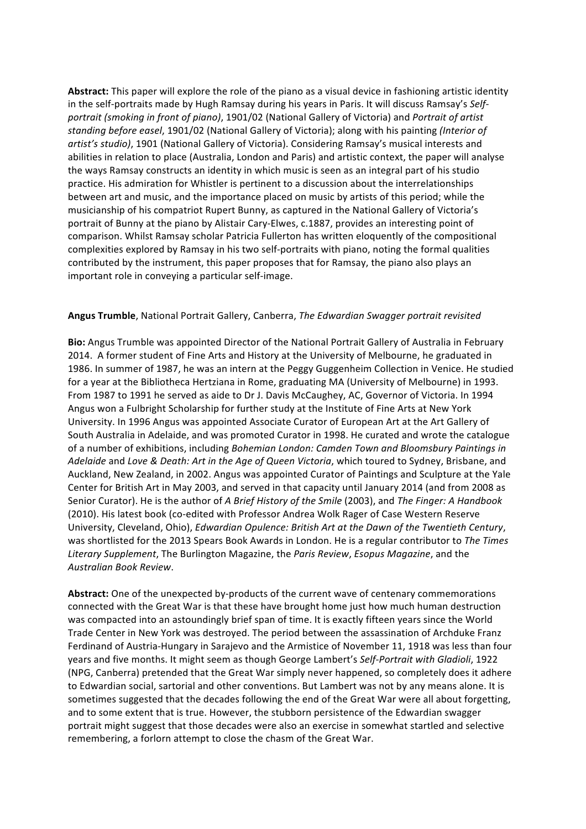Abstract: This paper will explore the role of the piano as a visual device in fashioning artistic identity in the self-portraits made by Hugh Ramsay during his years in Paris. It will discuss Ramsay's Selfportrait (smoking in front of piano), 1901/02 (National Gallery of Victoria) and *Portrait of artist* standing before easel, 1901/02 (National Gallery of Victoria); along with his painting *(Interior of* artist's studio), 1901 (National Gallery of Victoria). Considering Ramsay's musical interests and abilities in relation to place (Australia, London and Paris) and artistic context, the paper will analyse the ways Ramsay constructs an identity in which music is seen as an integral part of his studio practice. His admiration for Whistler is pertinent to a discussion about the interrelationships between art and music, and the importance placed on music by artists of this period; while the musicianship of his compatriot Rupert Bunny, as captured in the National Gallery of Victoria's portrait of Bunny at the piano by Alistair Cary-Elwes, c.1887, provides an interesting point of comparison. Whilst Ramsay scholar Patricia Fullerton has written eloquently of the compositional complexities explored by Ramsay in his two self-portraits with piano, noting the formal qualities contributed by the instrument, this paper proposes that for Ramsay, the piano also plays an important role in conveying a particular self-image.

#### Angus Trumble, National Portrait Gallery, Canberra, *The Edwardian Swagger portrait revisited*

**Bio:** Angus Trumble was appointed Director of the National Portrait Gallery of Australia in February 2014. A former student of Fine Arts and History at the University of Melbourne, he graduated in 1986. In summer of 1987, he was an intern at the Peggy Guggenheim Collection in Venice. He studied for a year at the Bibliotheca Hertziana in Rome, graduating MA (University of Melbourne) in 1993. From 1987 to 1991 he served as aide to Dr J. Davis McCaughey, AC, Governor of Victoria. In 1994 Angus won a Fulbright Scholarship for further study at the Institute of Fine Arts at New York University. In 1996 Angus was appointed Associate Curator of European Art at the Art Gallery of South Australia in Adelaide, and was promoted Curator in 1998. He curated and wrote the catalogue of a number of exhibitions, including *Bohemian London: Camden Town and Bloomsbury Paintings in Adelaide* and *Love & Death: Art in the Age of Queen Victoria*, which toured to Sydney, Brisbane, and Auckland, New Zealand, in 2002. Angus was appointed Curator of Paintings and Sculpture at the Yale Center for British Art in May 2003, and served in that capacity until January 2014 (and from 2008 as Senior Curator). He is the author of *A Brief History of the Smile* (2003), and *The Finger: A Handbook* (2010). His latest book (co-edited with Professor Andrea Wolk Rager of Case Western Reserve University, Cleveland, Ohio), *Edwardian Opulence: British Art at the Dawn of the Twentieth Century*, was shortlisted for the 2013 Spears Book Awards in London. He is a regular contributor to *The Times* Literary Supplement, The Burlington Magazine, the *Paris Review*, *Esopus Magazine*, and the *Australian Book Review*.

**Abstract:** One of the unexpected by-products of the current wave of centenary commemorations connected with the Great War is that these have brought home just how much human destruction was compacted into an astoundingly brief span of time. It is exactly fifteen years since the World Trade Center in New York was destroyed. The period between the assassination of Archduke Franz Ferdinand of Austria-Hungary in Sarajevo and the Armistice of November 11, 1918 was less than four years and five months. It might seem as though George Lambert's Self-Portrait with Gladioli, 1922 (NPG, Canberra) pretended that the Great War simply never happened, so completely does it adhere to Edwardian social, sartorial and other conventions. But Lambert was not by any means alone. It is sometimes suggested that the decades following the end of the Great War were all about forgetting, and to some extent that is true. However, the stubborn persistence of the Edwardian swagger portrait might suggest that those decades were also an exercise in somewhat startled and selective remembering, a forlorn attempt to close the chasm of the Great War.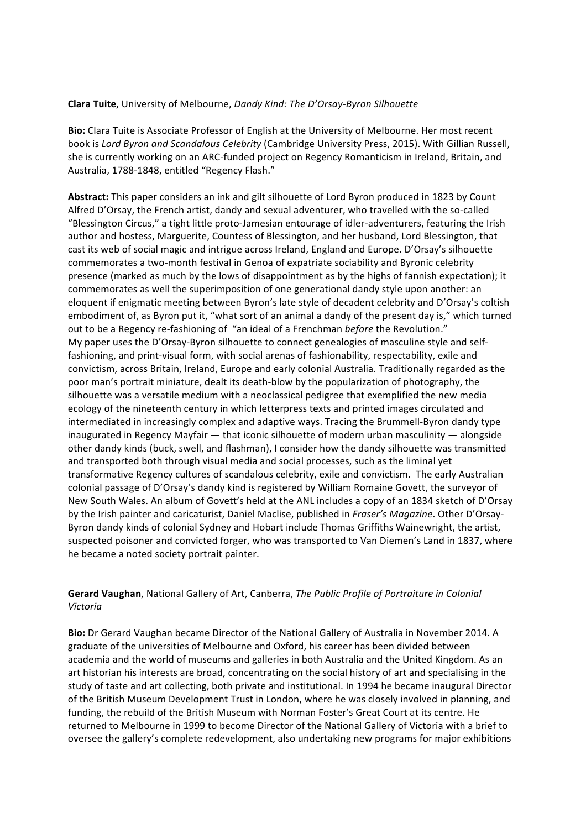#### **Clara Tuite**, University of Melbourne, *Dandy Kind: The D'Orsay-Byron Silhouette*

Bio: Clara Tuite is Associate Professor of English at the University of Melbourne. Her most recent book is *Lord Byron and Scandalous Celebrity* (Cambridge University Press, 2015). With Gillian Russell, she is currently working on an ARC-funded project on Regency Romanticism in Ireland, Britain, and Australia, 1788-1848, entitled "Regency Flash."

Abstract: This paper considers an ink and gilt silhouette of Lord Byron produced in 1823 by Count Alfred D'Orsay, the French artist, dandy and sexual adventurer, who travelled with the so-called "Blessington Circus," a tight little proto-Jamesian entourage of idler-adventurers, featuring the Irish author and hostess, Marguerite, Countess of Blessington, and her husband, Lord Blessington, that cast its web of social magic and intrigue across Ireland, England and Europe. D'Orsay's silhouette commemorates a two-month festival in Genoa of expatriate sociability and Byronic celebrity presence (marked as much by the lows of disappointment as by the highs of fannish expectation); it commemorates as well the superimposition of one generational dandy style upon another: an eloquent if enigmatic meeting between Byron's late style of decadent celebrity and D'Orsay's coltish embodiment of, as Byron put it, "what sort of an animal a dandy of the present day is," which turned out to be a Regency re-fashioning of "an ideal of a Frenchman *before* the Revolution." My paper uses the D'Orsay-Byron silhouette to connect genealogies of masculine style and selffashioning, and print-visual form, with social arenas of fashionability, respectability, exile and convictism, across Britain, Ireland, Europe and early colonial Australia. Traditionally regarded as the poor man's portrait miniature, dealt its death-blow by the popularization of photography, the silhouette was a versatile medium with a neoclassical pedigree that exemplified the new media ecology of the nineteenth century in which letterpress texts and printed images circulated and intermediated in increasingly complex and adaptive ways. Tracing the Brummell-Byron dandy type inaugurated in Regency Mayfair  $-$  that iconic silhouette of modern urban masculinity  $-$  alongside other dandy kinds (buck, swell, and flashman), I consider how the dandy silhouette was transmitted and transported both through visual media and social processes, such as the liminal yet transformative Regency cultures of scandalous celebrity, exile and convictism. The early Australian colonial passage of D'Orsay's dandy kind is registered by William Romaine Govett, the surveyor of New South Wales. An album of Govett's held at the ANL includes a copy of an 1834 sketch of D'Orsay by the Irish painter and caricaturist, Daniel Maclise, published in *Fraser's Magazine*. Other D'Orsay-Byron dandy kinds of colonial Sydney and Hobart include Thomas Griffiths Wainewright, the artist, suspected poisoner and convicted forger, who was transported to Van Diemen's Land in 1837, where he became a noted society portrait painter.

#### Gerard Vaughan, National Gallery of Art, Canberra, *The Public Profile of Portraiture in Colonial Victoria*

**Bio:** Dr Gerard Vaughan became Director of the National Gallery of Australia in November 2014. A graduate of the universities of Melbourne and Oxford, his career has been divided between academia and the world of museums and galleries in both Australia and the United Kingdom. As an art historian his interests are broad, concentrating on the social history of art and specialising in the study of taste and art collecting, both private and institutional. In 1994 he became inaugural Director of the British Museum Development Trust in London, where he was closely involved in planning, and funding, the rebuild of the British Museum with Norman Foster's Great Court at its centre. He returned to Melbourne in 1999 to become Director of the National Gallery of Victoria with a brief to oversee the gallery's complete redevelopment, also undertaking new programs for major exhibitions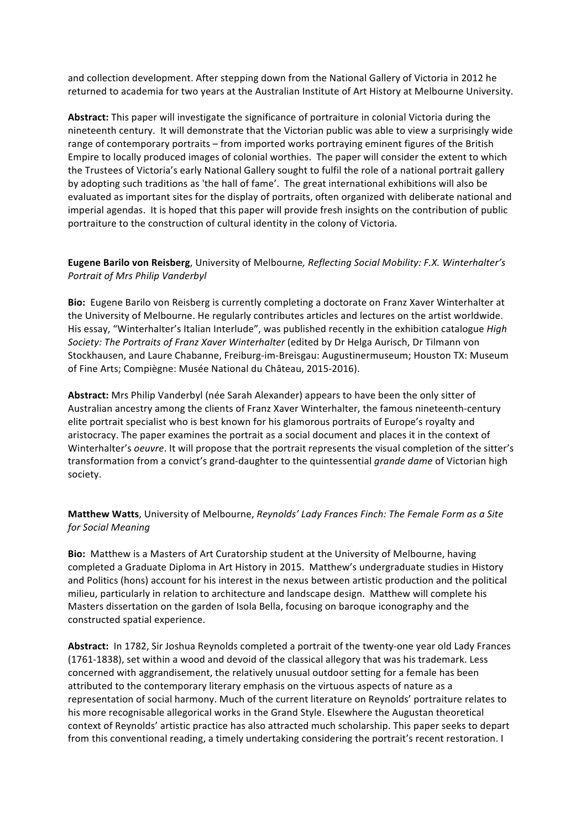and collection development. After stepping down from the National Gallery of Victoria in 2012 he returned to academia for two years at the Australian Institute of Art History at Melbourne University.

Abstract: This paper will investigate the significance of portraiture in colonial Victoria during the nineteenth century. It will demonstrate that the Victorian public was able to view a surprisingly wide range of contemporary portraits – from imported works portraying eminent figures of the British Empire to locally produced images of colonial worthies. The paper will consider the extent to which the Trustees of Victoria's early National Gallery sought to fulfil the role of a national portrait gallery by adopting such traditions as 'the hall of fame'. The great international exhibitions will also be evaluated as important sites for the display of portraits, often organized with deliberate national and imperial agendas. It is hoped that this paper will provide fresh insights on the contribution of public portraiture to the construction of cultural identity in the colony of Victoria.

#### Eugene Barilo von Reisberg, University of Melbourne, Reflecting Social Mobility: F.X. Winterhalter's *Portrait of Mrs Philip Vanderbyl*

**Bio:** Eugene Barilo von Reisberg is currently completing a doctorate on Franz Xaver Winterhalter at the University of Melbourne. He regularly contributes articles and lectures on the artist worldwide. His essay, "Winterhalter's Italian Interlude", was published recently in the exhibition catalogue *High Society: The Portraits of Franz Xaver Winterhalter* (edited by Dr Helga Aurisch, Dr Tilmann von Stockhausen, and Laure Chabanne, Freiburg-im-Breisgau: Augustinermuseum; Houston TX: Museum of Fine Arts; Compiègne: Musée National du Château, 2015-2016).

Abstract: Mrs Philip Vanderbyl (née Sarah Alexander) appears to have been the only sitter of Australian ancestry among the clients of Franz Xaver Winterhalter, the famous nineteenth-century elite portrait specialist who is best known for his glamorous portraits of Europe's royalty and aristocracy. The paper examines the portrait as a social document and places it in the context of Winterhalter's *oeuvre*. It will propose that the portrait represents the visual completion of the sitter's transformation from a convict's grand-daughter to the quintessential *grande dame* of Victorian high society.

## **Matthew Watts**, University of Melbourne, *Reynolds' Lady Frances Finch: The Female Form as a Site for Social Meaning*

**Bio:** Matthew is a Masters of Art Curatorship student at the University of Melbourne, having completed a Graduate Diploma in Art History in 2015. Matthew's undergraduate studies in History and Politics (hons) account for his interest in the nexus between artistic production and the political milieu, particularly in relation to architecture and landscape design. Matthew will complete his Masters dissertation on the garden of Isola Bella, focusing on baroque iconography and the constructed spatial experience.

Abstract: In 1782, Sir Joshua Reynolds completed a portrait of the twenty-one year old Lady Frances (1761-1838), set within a wood and devoid of the classical allegory that was his trademark. Less concerned with aggrandisement, the relatively unusual outdoor setting for a female has been attributed to the contemporary literary emphasis on the virtuous aspects of nature as a representation of social harmony. Much of the current literature on Reynolds' portraiture relates to his more recognisable allegorical works in the Grand Style. Elsewhere the Augustan theoretical context of Reynolds' artistic practice has also attracted much scholarship. This paper seeks to depart from this conventional reading, a timely undertaking considering the portrait's recent restoration. I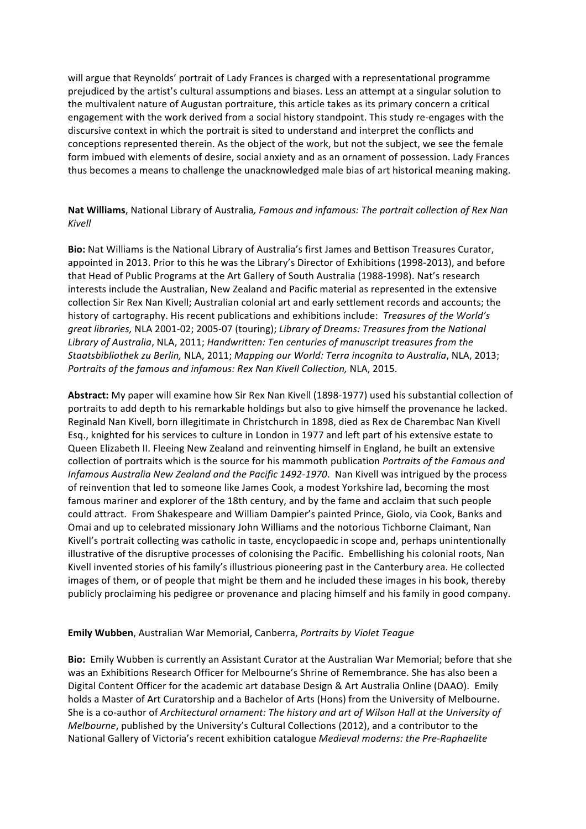will argue that Reynolds' portrait of Lady Frances is charged with a representational programme prejudiced by the artist's cultural assumptions and biases. Less an attempt at a singular solution to the multivalent nature of Augustan portraiture, this article takes as its primary concern a critical engagement with the work derived from a social history standpoint. This study re-engages with the discursive context in which the portrait is sited to understand and interpret the conflicts and conceptions represented therein. As the object of the work, but not the subject, we see the female form imbued with elements of desire, social anxiety and as an ornament of possession. Lady Frances thus becomes a means to challenge the unacknowledged male bias of art historical meaning making.

## Nat Williams, National Library of Australia, Famous and infamous: The portrait collection of Rex Nan *Kivell*

Bio: Nat Williams is the National Library of Australia's first James and Bettison Treasures Curator, appointed in 2013. Prior to this he was the Library's Director of Exhibitions (1998-2013), and before that Head of Public Programs at the Art Gallery of South Australia (1988-1998). Nat's research interests include the Australian, New Zealand and Pacific material as represented in the extensive collection Sir Rex Nan Kivell; Australian colonial art and early settlement records and accounts; the history of cartography. His recent publications and exhibitions include: *Treasures of the World's great libraries,* NLA 2001-02; 2005-07 (touring); *Library of Dreams: Treasures from the National* Library of Australia, NLA, 2011; *Handwritten: Ten centuries of manuscript treasures from the Staatsbibliothek zu Berlin,* NLA, 2011; *Mapping our World: Terra incognita to Australia*, NLA, 2013; *Portraits of the famous and infamous: Rex Nan Kivell Collection, NLA, 2015.* 

Abstract: My paper will examine how Sir Rex Nan Kivell (1898-1977) used his substantial collection of portraits to add depth to his remarkable holdings but also to give himself the provenance he lacked. Reginald Nan Kivell, born illegitimate in Christchurch in 1898, died as Rex de Charembac Nan Kivell Esq., knighted for his services to culture in London in 1977 and left part of his extensive estate to Queen Elizabeth II. Fleeing New Zealand and reinventing himself in England, he built an extensive collection of portraits which is the source for his mammoth publication *Portraits* of the Famous and *Infamous Australia New Zealand and the Pacific 1492-1970*. Nan Kivell was intrigued by the process of reinvention that led to someone like James Cook, a modest Yorkshire lad, becoming the most famous mariner and explorer of the 18th century, and by the fame and acclaim that such people could attract. From Shakespeare and William Dampier's painted Prince, Giolo, via Cook, Banks and Omai and up to celebrated missionary John Williams and the notorious Tichborne Claimant, Nan Kivell's portrait collecting was catholic in taste, encyclopaedic in scope and, perhaps unintentionally illustrative of the disruptive processes of colonising the Pacific. Embellishing his colonial roots, Nan Kivell invented stories of his family's illustrious pioneering past in the Canterbury area. He collected images of them, or of people that might be them and he included these images in his book, thereby publicly proclaiming his pedigree or provenance and placing himself and his family in good company.

## **Emily Wubben**, Australian War Memorial, Canberra, *Portraits by Violet Teague*

**Bio:** Emily Wubben is currently an Assistant Curator at the Australian War Memorial; before that she was an Exhibitions Research Officer for Melbourne's Shrine of Remembrance. She has also been a Digital Content Officer for the academic art database Design & Art Australia Online (DAAO). Emily holds a Master of Art Curatorship and a Bachelor of Arts (Hons) from the University of Melbourne. She is a co-author of *Architectural ornament:* The history and art of Wilson Hall at the University of *Melbourne*, published by the University's Cultural Collections (2012), and a contributor to the National Gallery of Victoria's recent exhibition catalogue *Medieval moderns: the Pre-Raphaelite*